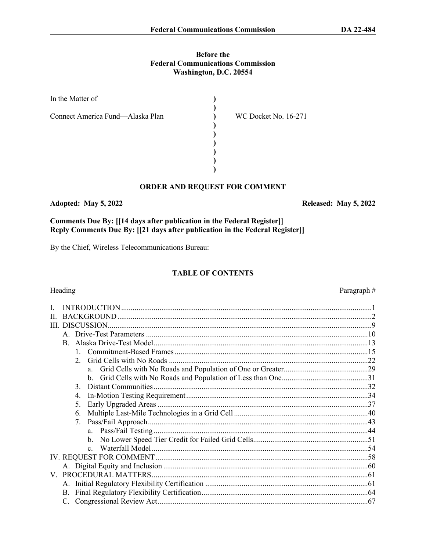# **Before the**

**Federal Communications Commission** Washington, D.C. 20554

| In the Matter of                 |                      |  |
|----------------------------------|----------------------|--|
| Connect America Fund—Alaska Plan | WC Docket No. 16-271 |  |
|                                  |                      |  |
|                                  |                      |  |
|                                  |                      |  |
|                                  |                      |  |

#### ORDER AND REQUEST FOR COMMENT

#### Adopted: May 5, 2022

Comments Due By: [[14 days after publication in the Federal Register]] Reply Comments Due By: [[21 days after publication in the Federal Register]]

By the Chief, Wireless Telecommunications Bureau:

#### **TABLE OF CONTENTS**

#### Heading

| H. |                                  |  |
|----|----------------------------------|--|
| Ш  | DISCUSSION                       |  |
|    |                                  |  |
|    |                                  |  |
|    |                                  |  |
|    | $2^{\circ}$                      |  |
|    | a                                |  |
|    |                                  |  |
|    | $\mathcal{E}$                    |  |
|    |                                  |  |
|    | 5.                               |  |
|    | 6.                               |  |
|    | $7_{\scriptscriptstyle{\ddots}}$ |  |
|    |                                  |  |
|    |                                  |  |
|    | $\mathbf{c}$                     |  |
|    |                                  |  |
|    |                                  |  |
|    |                                  |  |
|    |                                  |  |
|    |                                  |  |
|    |                                  |  |

#### Paragraph#

Released: May 5, 2022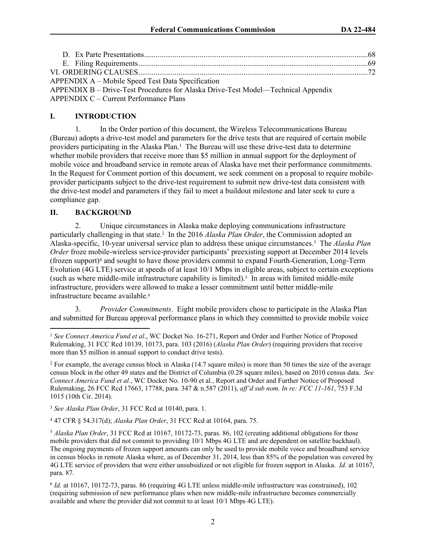| APPENDIX A – Mobile Speed Test Data Specification                                 |  |
|-----------------------------------------------------------------------------------|--|
| APPENDIX B – Drive-Test Procedures for Alaska Drive-Test Model—Technical Appendix |  |
| <b>APPENDIX C – Current Performance Plans</b>                                     |  |

#### **I. INTRODUCTION**

1. In the Order portion of this document, the Wireless Telecommunications Bureau (Bureau) adopts a drive-test model and parameters for the drive tests that are required of certain mobile providers participating in the Alaska Plan.<sup>1</sup> The Bureau will use these drive-test data to determine whether mobile providers that receive more than \$5 million in annual support for the deployment of mobile voice and broadband service in remote areas of Alaska have met their performance commitments. In the Request for Comment portion of this document, we seek comment on a proposal to require mobileprovider participants subject to the drive-test requirement to submit new drive-test data consistent with the drive-test model and parameters if they fail to meet a buildout milestone and later seek to cure a compliance gap.

#### **II. BACKGROUND**

2. Unique circumstances in Alaska make deploying communications infrastructure particularly challenging in that state.<sup>2</sup> In the 2016 *Alaska Plan Order*, the Commission adopted an Alaska-specific, 10-year universal service plan to address these unique circumstances.<sup>3</sup> The *Alaska Plan Order* froze mobile-wireless service-provider participants' preexisting support at December 2014 levels (frozen support)<sup>4</sup> and sought to have those providers commit to expand Fourth-Generation, Long-Term Evolution (4G LTE) service at speeds of at least 10/1 Mbps in eligible areas, subject to certain exceptions (such as where middle-mile infrastructure capability is limited).<sup>5</sup> In areas with limited middle-mile infrastructure, providers were allowed to make a lesser commitment until better middle-mile infrastructure became available.<sup>6</sup>

3. *Provider Commitments*. Eight mobile providers chose to participate in the Alaska Plan and submitted for Bureau approval performance plans in which they committed to provide mobile voice

<sup>3</sup> *See Alaska Plan Order*, 31 FCC Rcd at 10140, para. 1.

4 47 CFR § 54.317(d); *Alaska Plan Order*, 31 FCC Rcd at 10164, para. 75.

<sup>5</sup> *Alaska Plan Order*, 31 FCC Rcd at 10167, 10172-73, paras. 86, 102 (creating additional obligations for those mobile providers that did not commit to providing 10/1 Mbps 4G LTE and are dependent on satellite backhaul). The ongoing payments of frozen support amounts can only be used to provide mobile voice and broadband service in census blocks in remote Alaska where, as of December 31, 2014, less than 85% of the population was covered by 4G LTE service of providers that were either unsubsidized or not eligible for frozen support in Alaska. *Id.* at 10167, para. 87.

6 *Id.* at 10167, 10172-73, paras. 86 (requiring 4G LTE unless middle-mile infrastructure was constrained), 102 (requiring submission of new performance plans when new middle-mile infrastructure becomes commercially available and where the provider did not commit to at least 10/1 Mbps 4G LTE).

<sup>1</sup> *See Connect America Fund et al*., WC Docket No. 16-271, Report and Order and Further Notice of Proposed Rulemaking, 31 FCC Rcd 10139, 10173, para. 103 (2016) (*Alaska Plan Order*) (requiring providers that receive more than \$5 million in annual support to conduct drive tests).

<sup>&</sup>lt;sup>2</sup> For example, the average census block in Alaska (14.7 square miles) is more than 50 times the size of the average census block in the other 49 states and the District of Columbia (0.28 square miles), based on 2010 census data. *See Connect America Fund et al.*, WC Docket No. 10-90 et al., Report and Order and Further Notice of Proposed Rulemaking, 26 FCC Rcd 17663, 17788, para. 347 & n.587 (2011), *aff'd sub nom. In re: FCC 11-161*, 753 F.3d 1015 (10th Cir. 2014).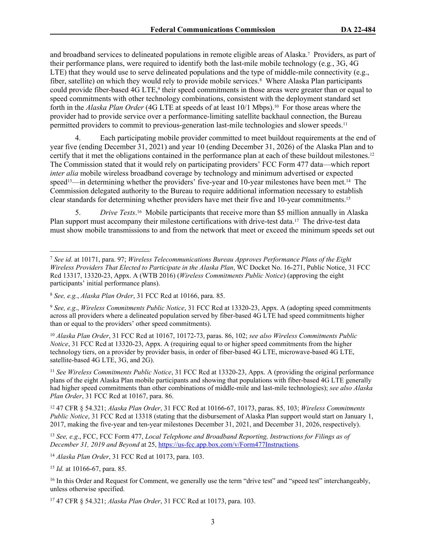and broadband services to delineated populations in remote eligible areas of Alaska.<sup>7</sup> Providers, as part of their performance plans, were required to identify both the last-mile mobile technology (e.g*.*, 3G, 4G LTE) that they would use to serve delineated populations and the type of middle-mile connectivity (e.g., fiber, satellite) on which they would rely to provide mobile services.<sup>8</sup> Where Alaska Plan participants could provide fiber-based 4G LTE,<sup>9</sup> their speed commitments in those areas were greater than or equal to speed commitments with other technology combinations, consistent with the deployment standard set forth in the *Alaska Plan Order* (4G LTE at speeds of at least 10/1 Mbps).<sup>10</sup> For those areas where the provider had to provide service over a performance-limiting satellite backhaul connection, the Bureau permitted providers to commit to previous-generation last-mile technologies and slower speeds.<sup>11</sup>

4. Each participating mobile provider committed to meet buildout requirements at the end of year five (ending December 31, 2021) and year 10 (ending December 31, 2026) of the Alaska Plan and to certify that it met the obligations contained in the performance plan at each of these buildout milestones.<sup>12</sup> The Commission stated that it would rely on participating providers' FCC Form 477 data—which report *inter alia* mobile wireless broadband coverage by technology and minimum advertised or expected speed<sup>13</sup>—in determining whether the providers' five-year and 10-year milestones have been met.<sup>14</sup> The Commission delegated authority to the Bureau to require additional information necessary to establish clear standards for determining whether providers have met their five and 10-year commitments.<sup>15</sup>

5. *Drive Tests*. <sup>16</sup> Mobile participants that receive more than \$5 million annually in Alaska Plan support must accompany their milestone certifications with drive-test data.<sup>17</sup> The drive-test data must show mobile transmissions to and from the network that meet or exceed the minimum speeds set out

<sup>10</sup> *Alaska Plan Order*, 31 FCC Rcd at 10167, 10172-73, paras. 86, 102; *see also Wireless Commitments Public Notice*, 31 FCC Rcd at 13320-23, Appx. A (requiring equal to or higher speed commitments from the higher technology tiers, on a provider by provider basis, in order of fiber-based 4G LTE, microwave-based 4G LTE, satellite-based 4G LTE, 3G, and 2G).

<sup>11</sup> *See Wireless Commitments Public Notice*, 31 FCC Rcd at 13320-23, Appx. A (providing the original performance plans of the eight Alaska Plan mobile participants and showing that populations with fiber-based 4G LTE generally had higher speed commitments than other combinations of middle-mile and last-mile technologies); *see also Alaska Plan Order*, 31 FCC Rcd at 10167, para. 86.

<sup>12</sup> 47 CFR § 54.321; *Alaska Plan Order*, 31 FCC Rcd at 10166-67, 10173, paras. 85, 103; *Wireless Commitments Public Notice*, 31 FCC Rcd at 13318 (stating that the disbursement of Alaska Plan support would start on January 1, 2017, making the five-year and ten-year milestones December 31, 2021, and December 31, 2026, respectively).

<sup>13</sup> *See, e.g*., FCC, FCC Form 477, *Local Telephone and Broadband Reporting, Instructions for Filings as of December 31, 2019 and Beyond* at 25, [https://us-fcc.app.box.com/v/Form477Instructions.](https://us-fcc.app.box.com/v/Form477Instructions)

<sup>14</sup> *Alaska Plan Order*, 31 FCC Rcd at 10173, para. 103.

<sup>15</sup> *Id.* at 10166-67, para. 85.

<sup>16</sup> In this Order and Request for Comment, we generally use the term "drive test" and "speed test" interchangeably, unless otherwise specified.

17 47 CFR § 54.321; *Alaska Plan Order*, 31 FCC Rcd at 10173, para. 103.

<sup>7</sup> *See id.* at 10171, para. 97; *Wireless Telecommunications Bureau Approves Performance Plans of the Eight Wireless Providers That Elected to Participate in the Alaska Plan*, WC Docket No. 16-271, Public Notice, 31 FCC Rcd 13317, 13320-23, Appx. A (WTB 2016) (*Wireless Commitments Public Notice*) (approving the eight participants' initial performance plans).

<sup>8</sup>  *See, e.g.*, *Alaska Plan Order*, 31 FCC Rcd at 10166, para. 85.

<sup>9</sup> *See, e.g*., *Wireless Commitments Public Notice*, 31 FCC Rcd at 13320-23, Appx. A (adopting speed commitments across all providers where a delineated population served by fiber-based 4G LTE had speed commitments higher than or equal to the providers' other speed commitments).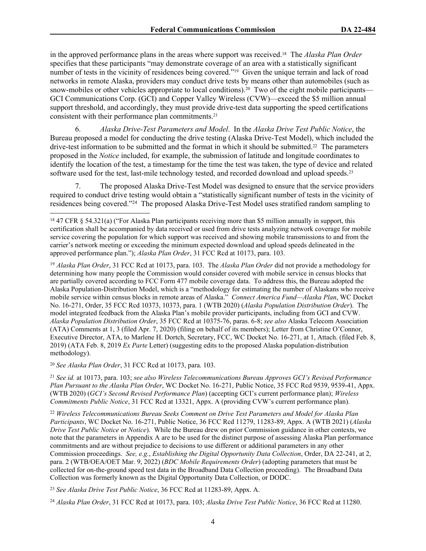in the approved performance plans in the areas where support was received.18 The *Alaska Plan Order* specifies that these participants "may demonstrate coverage of an area with a statistically significant number of tests in the vicinity of residences being covered."19 Given the unique terrain and lack of road networks in remote Alaska, providers may conduct drive tests by means other than automobiles (such as snow-mobiles or other vehicles appropriate to local conditions).<sup>20</sup> Two of the eight mobile participants— GCI Communications Corp. (GCI) and Copper Valley Wireless (CVW)—exceed the \$5 million annual support threshold, and accordingly, they must provide drive-test data supporting the speed certifications consistent with their performance plan commitments.<sup>21</sup>

6. *Alaska Drive-Test Parameters and Model*. In the *Alaska Drive Test Public Notice*, the Bureau proposed a model for conducting the drive testing (Alaska Drive-Test Model), which included the drive-test information to be submitted and the format in which it should be submitted.22 The parameters proposed in the *Notice* included, for example, the submission of latitude and longitude coordinates to identify the location of the test, a timestamp for the time the test was taken, the type of device and related software used for the test, last-mile technology tested, and recorded download and upload speeds.<sup>23</sup>

7. The proposed Alaska Drive-Test Model was designed to ensure that the service providers required to conduct drive testing would obtain a "statistically significant number of tests in the vicinity of residences being covered."<sup>24</sup> The proposed Alaska Drive-Test Model uses stratified random sampling to

<sup>19</sup> *Alaska Plan Order*, 31 FCC Rcd at 10173, para. 103. The *Alaska Plan Order* did not provide a methodology for determining how many people the Commission would consider covered with mobile service in census blocks that are partially covered according to FCC Form 477 mobile coverage data. To address this, the Bureau adopted the Alaska Population-Distribution Model, which is a "methodology for estimating the number of Alaskans who receive mobile service within census blocks in remote areas of Alaska." *Connect America Fund—Alaska Plan*, WC Docket No. 16-271, Order, 35 FCC Rcd 10373, 10373, para. 1 (WTB 2020) (*Alaska Population Distribution Order*). The model integrated feedback from the Alaska Plan's mobile provider participants, including from GCI and CVW. *Alaska Population Distribution Order*, 35 FCC Rcd at 10375-76, paras. 6-8; *see also* Alaska Telecom Association (ATA) Comments at 1, 3 (filed Apr. 7, 2020) (filing on behalf of its members); Letter from Christine O'Connor, Executive Director, ATA, to Marlene H. Dortch, Secretary, FCC, WC Docket No. 16-271, at 1, Attach. (filed Feb. 8, 2019) (ATA Feb. 8, 2019 *Ex Parte* Letter) (suggesting edits to the proposed Alaska population-distribution methodology).

<sup>20</sup> *See Alaska Plan Order*, 31 FCC Rcd at 10173, para. 103.

<sup>21</sup> *See id.* at 10173, para. 103; *see also Wireless Telecommunications Bureau Approves GCI's Revised Performance Plan Pursuant to the Alaska Plan Order*, WC Docket No. 16-271, Public Notice, 35 FCC Rcd 9539, 9539-41, Appx. (WTB 2020) (*GCI's Second Revised Performance Plan*) (accepting GCI's current performance plan); *Wireless Commitments Public Notice*, 31 FCC Rcd at 13321, Appx. A (providing CVW's current performance plan)*.*

<sup>22</sup> *Wireless Telecommunications Bureau Seeks Comment on Drive Test Parameters and Model for Alaska Plan Participants*, WC Docket No. 16-271, Public Notice, 36 FCC Rcd 11279, 11283-89, Appx. A (WTB 2021) (*Alaska Drive Test Public Notice* or *Notice*). While the Bureau drew on prior Commission guidance in other contexts, we note that the parameters in Appendix A are to be used for the distinct purpose of assessing Alaska Plan performance commitments and are without prejudice to decisions to use different or additional parameters in any other Commission proceedings. *See, e.g.*, *Establishing the Digital Opportunity Data Collection*, Order, DA 22-241, at 2, para. 2 (WTB/OEA/OET Mar. 9, 2022) (*BDC Mobile Requirements Order*) (adopting parameters that must be collected for on-the-ground speed test data in the Broadband Data Collection proceeding). The Broadband Data Collection was formerly known as the Digital Opportunity Data Collection, or DODC.

<sup>23</sup> *See Alaska Drive Test Public Notice*, 36 FCC Rcd at 11283-89, Appx. A.

<sup>24</sup> *Alaska Plan Order*, 31 FCC Rcd at 10173, para. 103; *Alaska Drive Test Public Notice*, 36 FCC Rcd at 11280.

<sup>18</sup> 47 CFR § 54.321(a) ("For Alaska Plan participants receiving more than \$5 million annually in support, this certification shall be accompanied by data received or used from drive tests analyzing network coverage for mobile service covering the population for which support was received and showing mobile transmissions to and from the carrier's network meeting or exceeding the minimum expected download and upload speeds delineated in the approved performance plan."); *Alaska Plan Order*, 31 FCC Rcd at 10173, para. 103.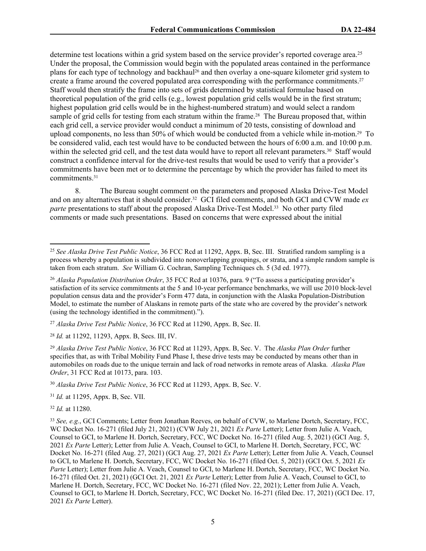determine test locations within a grid system based on the service provider's reported coverage area.<sup>25</sup> Under the proposal, the Commission would begin with the populated areas contained in the performance plans for each type of technology and backhaul26 and then overlay a one-square kilometer grid system to create a frame around the covered populated area corresponding with the performance commitments.<sup>27</sup> Staff would then stratify the frame into sets of grids determined by statistical formulae based on theoretical population of the grid cells (e.g., lowest population grid cells would be in the first stratum; highest population grid cells would be in the highest-numbered stratum) and would select a random sample of grid cells for testing from each stratum within the frame.<sup>28</sup> The Bureau proposed that, within each grid cell, a service provider would conduct a minimum of 20 tests, consisting of download and upload components, no less than 50% of which would be conducted from a vehicle while in-motion.29 To be considered valid, each test would have to be conducted between the hours of 6:00 a.m. and 10:00 p.m. within the selected grid cell, and the test data would have to report all relevant parameters.<sup>30</sup> Staff would construct a confidence interval for the drive-test results that would be used to verify that a provider's commitments have been met or to determine the percentage by which the provider has failed to meet its commitments.<sup>31</sup>

8. The Bureau sought comment on the parameters and proposed Alaska Drive-Test Model and on any alternatives that it should consider.32 GCI filed comments, and both GCI and CVW made *ex parte* presentations to staff about the proposed Alaska Drive-Test Model.33 No other party filed comments or made such presentations. Based on concerns that were expressed about the initial

<sup>27</sup> *Alaska Drive Test Public Notice*, 36 FCC Rcd at 11290, Appx. B, Sec. II.

<sup>28</sup> *Id.* at 11292, 11293, Appx. B, Secs. III, IV.

<sup>29</sup> *Alaska Drive Test Public Notice*, 36 FCC Rcd at 11293, Appx. B, Sec. V. The *Alaska Plan Order* further specifies that, as with Tribal Mobility Fund Phase I, these drive tests may be conducted by means other than in automobiles on roads due to the unique terrain and lack of road networks in remote areas of Alaska. *Alaska Plan Order*, 31 FCC Rcd at 10173, para. 103.

<sup>30</sup> *Alaska Drive Test Public Notice*, 36 FCC Rcd at 11293, Appx. B, Sec. V.

<sup>31</sup> *Id.* at 11295, Appx. B, Sec. VII.

<sup>32</sup> *Id.* at 11280.

<sup>25</sup> *See Alaska Drive Test Public Notice*, 36 FCC Rcd at 11292, Appx. B, Sec. III. Stratified random sampling is a process whereby a population is subdivided into nonoverlapping groupings, or strata, and a simple random sample is taken from each stratum. *See* William G. Cochran, Sampling Techniques ch. 5 (3d ed. 1977).

<sup>26</sup> *Alaska Population Distribution Order*, 35 FCC Rcd at 10376, para. 9 ("To assess a participating provider's satisfaction of its service commitments at the 5 and 10-year performance benchmarks, we will use 2010 block-level population census data and the provider's Form 477 data, in conjunction with the Alaska Population-Distribution Model, to estimate the number of Alaskans in remote parts of the state who are covered by the provider's network (using the technology identified in the commitment).").

<sup>33</sup> *See, e.g.*, GCI Comments; Letter from Jonathan Reeves, on behalf of CVW, to Marlene Dortch, Secretary, FCC, WC Docket No. 16-271 (filed July 21, 2021) (CVW July 21, 2021 *Ex Parte* Letter); Letter from Julie A. Veach, Counsel to GCI, to Marlene H. Dortch, Secretary, FCC, WC Docket No. 16-271 (filed Aug. 5, 2021) (GCI Aug. 5, 2021 *Ex Parte* Letter); Letter from Julie A. Veach, Counsel to GCI, to Marlene H. Dortch, Secretary, FCC, WC Docket No. 16-271 (filed Aug. 27, 2021) (GCI Aug. 27, 2021 *Ex Parte* Letter); Letter from Julie A. Veach, Counsel to GCI, to Marlene H. Dortch, Secretary, FCC, WC Docket No. 16-271 (filed Oct. 5, 2021) (GCI Oct. 5, 2021 *Ex Parte* Letter); Letter from Julie A. Veach, Counsel to GCI, to Marlene H. Dortch, Secretary, FCC, WC Docket No. 16-271 (filed Oct. 21, 2021) (GCI Oct. 21, 2021 *Ex Parte* Letter); Letter from Julie A. Veach, Counsel to GCI, to Marlene H. Dortch, Secretary, FCC, WC Docket No. 16-271 (filed Nov. 22, 2021); Letter from Julie A. Veach, Counsel to GCI, to Marlene H. Dortch, Secretary, FCC, WC Docket No. 16-271 (filed Dec. 17, 2021) (GCI Dec. 17, 2021 *Ex Parte* Letter).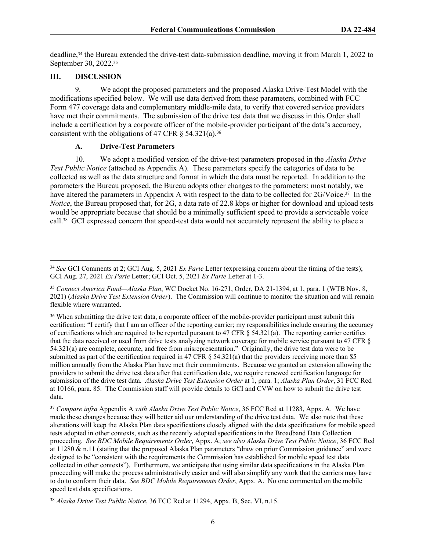deadline,<sup>34</sup> the Bureau extended the drive-test data-submission deadline, moving it from March 1, 2022 to September 30, 2022.<sup>35</sup>

#### **III. DISCUSSION**

9. We adopt the proposed parameters and the proposed Alaska Drive-Test Model with the modifications specified below. We will use data derived from these parameters, combined with FCC Form 477 coverage data and complementary middle-mile data, to verify that covered service providers have met their commitments. The submission of the drive test data that we discuss in this Order shall include a certification by a corporate officer of the mobile-provider participant of the data's accuracy, consistent with the obligations of 47 CFR  $\S$  54.321(a).<sup>36</sup>

#### **A. Drive-Test Parameters**

10. We adopt a modified version of the drive-test parameters proposed in the *Alaska Drive Test Public Notice* (attached as Appendix A). These parameters specify the categories of data to be collected as well as the data structure and format in which the data must be reported. In addition to the parameters the Bureau proposed, the Bureau adopts other changes to the parameters; most notably, we have altered the parameters in Appendix A with respect to the data to be collected for 2G/Voice.<sup>37</sup> In the *Notice*, the Bureau proposed that, for 2G, a data rate of 22.8 kbps or higher for download and upload tests would be appropriate because that should be a minimally sufficient speed to provide a serviceable voice call.38 GCI expressed concern that speed-test data would not accurately represent the ability to place a

<sup>34</sup> *See* GCI Comments at 2; GCI Aug. 5, 2021 *Ex Parte* Letter (expressing concern about the timing of the tests); GCI Aug. 27, 2021 *Ex Parte* Letter; GCI Oct. 5, 2021 *Ex Parte* Letter at 1-3.

<sup>35</sup> *Connect America Fund—Alaska Plan*, WC Docket No. 16-271, Order, DA 21-1394, at 1, para. 1 (WTB Nov. 8, 2021) (*Alaska Drive Test Extension Order*). The Commission will continue to monitor the situation and will remain flexible where warranted.

<sup>&</sup>lt;sup>36</sup> When submitting the drive test data, a corporate officer of the mobile-provider participant must submit this certification: "I certify that I am an officer of the reporting carrier; my responsibilities include ensuring the accuracy of certifications which are required to be reported pursuant to 47 CFR  $\S$  54.321(a). The reporting carrier certifies that the data received or used from drive tests analyzing network coverage for mobile service pursuant to 47 CFR § 54.321(a) are complete, accurate, and free from misrepresentation." Originally, the drive test data were to be submitted as part of the certification required in 47 CFR § 54.321(a) that the providers receiving more than \$5 million annually from the Alaska Plan have met their commitments. Because we granted an extension allowing the providers to submit the drive test data after that certification date, we require renewed certification language for submission of the drive test data. *Alaska Drive Test Extension Order* at 1, para. 1; *Alaska Plan Order*, 31 FCC Rcd at 10166, para. 85. The Commission staff will provide details to GCI and CVW on how to submit the drive test data.

<sup>37</sup> *Compare infra* Appendix A *with Alaska Drive Test Public Notice*, 36 FCC Rcd at 11283, Appx. A. We have made these changes because they will better aid our understanding of the drive test data. We also note that these alterations will keep the Alaska Plan data specifications closely aligned with the data specifications for mobile speed tests adopted in other contexts, such as the recently adopted specifications in the Broadband Data Collection proceeding. *See BDC Mobile Requirements Order*, Appx. A; *see also Alaska Drive Test Public Notice*, 36 FCC Rcd at 11280 & n.11 (stating that the proposed Alaska Plan parameters "draw on prior Commission guidance" and were designed to be "consistent with the requirements the Commission has established for mobile speed test data collected in other contexts"). Furthermore, we anticipate that using similar data specifications in the Alaska Plan proceeding will make the process administratively easier and will also simplify any work that the carriers may have to do to conform their data. *See BDC Mobile Requirements Order*, Appx. A. No one commented on the mobile speed test data specifications.

<sup>38</sup> *Alaska Drive Test Public Notice*, 36 FCC Rcd at 11294, Appx. B, Sec. VI, n.15.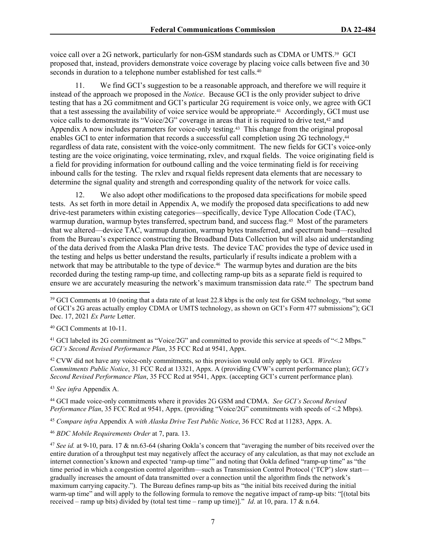voice call over a 2G network, particularly for non-GSM standards such as CDMA or UMTS.39 GCI proposed that, instead, providers demonstrate voice coverage by placing voice calls between five and 30 seconds in duration to a telephone number established for test calls.<sup>40</sup>

11. We find GCI's suggestion to be a reasonable approach, and therefore we will require it instead of the approach we proposed in the *Notice*. Because GCI is the only provider subject to drive testing that has a 2G commitment and GCI's particular 2G requirement is voice only, we agree with GCI that a test assessing the availability of voice service would be appropriate.41 Accordingly, GCI must use voice calls to demonstrate its "Voice/2G" coverage in areas that it is required to drive test, $42$  and Appendix A now includes parameters for voice-only testing.<sup>43</sup> This change from the original proposal enables GCI to enter information that records a successful call completion using 2G technology,<sup>44</sup> regardless of data rate, consistent with the voice-only commitment. The new fields for GCI's voice-only testing are the voice originating, voice terminating, rxlev, and rxqual fields. The voice originating field is a field for providing information for outbound calling and the voice terminating field is for receiving inbound calls for the testing. The rxlev and rxqual fields represent data elements that are necessary to determine the signal quality and strength and corresponding quality of the network for voice calls.

12. We also adopt other modifications to the proposed data specifications for mobile speed tests. As set forth in more detail in Appendix A, we modify the proposed data specifications to add new drive-test parameters within existing categories—specifically, device Type Allocation Code (TAC), warmup duration, warmup bytes transferred, spectrum band, and success flag.<sup>45</sup> Most of the parameters that we altered—device TAC, warmup duration, warmup bytes transferred, and spectrum band—resulted from the Bureau's experience constructing the Broadband Data Collection but will also aid understanding of the data derived from the Alaska Plan drive tests. The device TAC provides the type of device used in the testing and helps us better understand the results, particularly if results indicate a problem with a network that may be attributable to the type of device.<sup>46</sup> The warmup bytes and duration are the bits recorded during the testing ramp-up time, and collecting ramp-up bits as a separate field is required to ensure we are accurately measuring the network's maximum transmission data rate.47 The spectrum band

<sup>40</sup> GCI Comments at 10-11.

<sup>41</sup> GCI labeled its 2G commitment as "Voice/2G" and committed to provide this service at speeds of "<.2 Mbps." *GCI's Second Revised Performance Plan*, 35 FCC Rcd at 9541, Appx.

<sup>42</sup> CVW did not have any voice-only commitments, so this provision would only apply to GCI. *Wireless Commitments Public Notice*, 31 FCC Rcd at 13321, Appx. A (providing CVW's current performance plan); *GCI's Second Revised Performance Plan*, 35 FCC Rcd at 9541, Appx. (accepting GCI's current performance plan)*.*

<sup>43</sup> *See infra* Appendix A.

<sup>44</sup> GCI made voice-only commitments where it provides 2G GSM and CDMA. *See GCI's Second Revised Performance Plan*, 35 FCC Rcd at 9541, Appx. (providing "Voice/2G" commitments with speeds of <.2 Mbps).

<sup>45</sup> *Compare infra* Appendix A *with Alaska Drive Test Public Notice*, 36 FCC Rcd at 11283, Appx. A.

<sup>46</sup> *BDC Mobile Requirements Order* at 7, para. 13.

<sup>47</sup> *See id.* at 9-10, para. 17 & nn.63-64 (sharing Ookla's concern that "averaging the number of bits received over the entire duration of a throughput test may negatively affect the accuracy of any calculation, as that may not exclude an internet connection's known and expected 'ramp-up time'" and noting that Ookla defined "ramp-up time" as "the time period in which a congestion control algorithm—such as Transmission Control Protocol ('TCP') slow start gradually increases the amount of data transmitted over a connection until the algorithm finds the network's maximum carrying capacity."). The Bureau defines ramp-up bits as "the initial bits received during the initial warm-up time" and will apply to the following formula to remove the negative impact of ramp-up bits: "[(total bits received – ramp up bits) divided by (total test time – ramp up time)]." *Id*. at 10, para. 17 & n.64.

<sup>&</sup>lt;sup>39</sup> GCI Comments at 10 (noting that a data rate of at least 22.8 kbps is the only test for GSM technology, "but some of GCI's 2G areas actually employ CDMA or UMTS technology, as shown on GCI's Form 477 submissions"); GCI Dec. 17, 2021 *Ex Parte* Letter.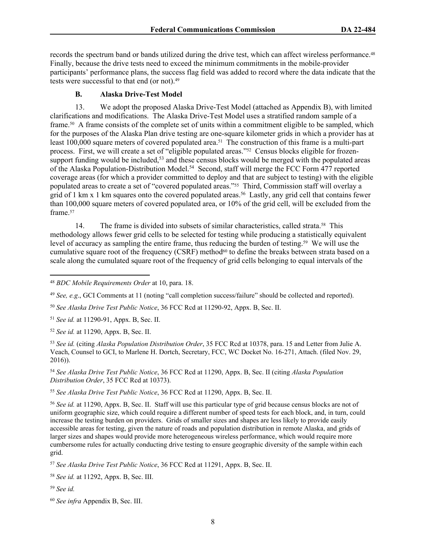records the spectrum band or bands utilized during the drive test, which can affect wireless performance.<sup>48</sup> Finally, because the drive tests need to exceed the minimum commitments in the mobile-provider participants' performance plans, the success flag field was added to record where the data indicate that the tests were successful to that end (or not).<sup>49</sup>

#### **B. Alaska Drive-Test Model**

13. We adopt the proposed Alaska Drive-Test Model (attached as Appendix B), with limited clarifications and modifications. The Alaska Drive-Test Model uses a stratified random sample of a frame.50 A frame consists of the complete set of units within a commitment eligible to be sampled, which for the purposes of the Alaska Plan drive testing are one-square kilometer grids in which a provider has at least 100,000 square meters of covered populated area.51 The construction of this frame is a multi-part process. First, we will create a set of "eligible populated areas."<sup>52</sup> Census blocks eligible for frozensupport funding would be included,<sup>53</sup> and these census blocks would be merged with the populated areas of the Alaska Population-Distribution Model.<sup>54</sup> Second, staff will merge the FCC Form 477 reported coverage areas (for which a provider committed to deploy and that are subject to testing) with the eligible populated areas to create a set of "covered populated areas."55 Third, Commission staff will overlay a grid of 1 km x 1 km squares onto the covered populated areas.<sup>56</sup> Lastly, any grid cell that contains fewer than 100,000 square meters of covered populated area, or 10% of the grid cell, will be excluded from the frame.<sup>57</sup>

14. The frame is divided into subsets of similar characteristics, called strata.58 This methodology allows fewer grid cells to be selected for testing while producing a statistically equivalent level of accuracy as sampling the entire frame, thus reducing the burden of testing.59 We will use the cumulative square root of the frequency (CSRF) method<sup>60</sup> to define the breaks between strata based on a scale along the cumulated square root of the frequency of grid cells belonging to equal intervals of the

<sup>49</sup> *See, e.g.*, GCI Comments at 11 (noting "call completion success/failure" should be collected and reported).

<sup>50</sup> *See Alaska Drive Test Public Notice*, 36 FCC Rcd at 11290-92, Appx. B, Sec. II.

<sup>51</sup> *See id.* at 11290-91, Appx. B, Sec. II.

<sup>52</sup> *See id.* at 11290, Appx. B, Sec. II.

<sup>53</sup> *See id.* (citing *Alaska Population Distribution Order*, 35 FCC Rcd at 10378, para. 15 and Letter from Julie A. Veach, Counsel to GCI, to Marlene H. Dortch, Secretary, FCC, WC Docket No. 16-271, Attach. (filed Nov. 29, 2016)).

<sup>54</sup> *See Alaska Drive Test Public Notice*, 36 FCC Rcd at 11290, Appx. B, Sec. II (citing *Alaska Population Distribution Order*, 35 FCC Rcd at 10373).

<sup>55</sup> *See Alaska Drive Test Public Notice*, 36 FCC Rcd at 11290, Appx. B, Sec. II.

<sup>56</sup> *See id.* at 11290, Appx. B, Sec. II. Staff will use this particular type of grid because census blocks are not of uniform geographic size, which could require a different number of speed tests for each block, and, in turn, could increase the testing burden on providers. Grids of smaller sizes and shapes are less likely to provide easily accessible areas for testing, given the nature of roads and population distribution in remote Alaska, and grids of larger sizes and shapes would provide more heterogeneous wireless performance, which would require more cumbersome rules for actually conducting drive testing to ensure geographic diversity of the sample within each grid.

<sup>57</sup> *See Alaska Drive Test Public Notice*, 36 FCC Rcd at 11291, Appx. B, Sec. II.

<sup>58</sup> *See id.* at 11292, Appx. B, Sec. III.

<sup>59</sup> *See id.*

<sup>60</sup> *See infra* Appendix B, Sec. III.

<sup>48</sup> *BDC Mobile Requirements Order* at 10, para. 18.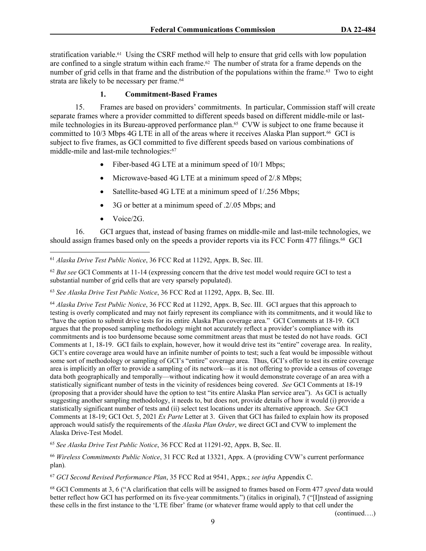stratification variable.61 Using the CSRF method will help to ensure that grid cells with low population are confined to a single stratum within each frame.<sup>62</sup> The number of strata for a frame depends on the number of grid cells in that frame and the distribution of the populations within the frame.<sup>63</sup> Two to eight strata are likely to be necessary per frame.<sup>64</sup>

#### **1. Commitment-Based Frames**

15. Frames are based on providers' commitments. In particular, Commission staff will create separate frames where a provider committed to different speeds based on different middle-mile or lastmile technologies in its Bureau-approved performance plan.<sup>65</sup> CVW is subject to one frame because it committed to 10/3 Mbps 4G LTE in all of the areas where it receives Alaska Plan support.<sup>66</sup> GCI is subject to five frames, as GCI committed to five different speeds based on various combinations of middle-mile and last-mile technologies:<sup>67</sup>

- Fiber-based 4G LTE at a minimum speed of 10/1 Mbps;
- Microwave-based 4G LTE at a minimum speed of 2/.8 Mbps;
- Satellite-based 4G LTE at a minimum speed of 1/.256 Mbps;
- 3G or better at a minimum speed of .2/.05 Mbps; and
- $\bullet$  Voice/2G.

16. GCI argues that, instead of basing frames on middle-mile and last-mile technologies, we should assign frames based only on the speeds a provider reports via its FCC Form 477 filings.<sup>68</sup> GCI

<sup>61</sup> *Alaska Drive Test Public Notice*, 36 FCC Rcd at 11292, Appx. B, Sec. III.

<sup>62</sup> *But see* GCI Comments at 11-14 (expressing concern that the drive test model would require GCI to test a substantial number of grid cells that are very sparsely populated).

<sup>63</sup> *See Alaska Drive Test Public Notice*, 36 FCC Rcd at 11292, Appx. B, Sec. III.

<sup>64</sup> *Alaska Drive Test Public Notice*, 36 FCC Rcd at 11292, Appx. B, Sec. III. GCI argues that this approach to testing is overly complicated and may not fairly represent its compliance with its commitments, and it would like to "have the option to submit drive tests for its entire Alaska Plan coverage area." GCI Comments at 18-19. GCI argues that the proposed sampling methodology might not accurately reflect a provider's compliance with its commitments and is too burdensome because some commitment areas that must be tested do not have roads. GCI Comments at 1, 18-19. GCI fails to explain, however, how it would drive test its "entire" coverage area. In reality, GCI's entire coverage area would have an infinite number of points to test; such a feat would be impossible without some sort of methodology or sampling of GCI's "entire" coverage area. Thus, GCI's offer to test its entire coverage area is implicitly an offer to provide a sampling of its network—as it is not offering to provide a census of coverage data both geographically and temporally—without indicating how it would demonstrate coverage of an area with a statistically significant number of tests in the vicinity of residences being covered. *See* GCI Comments at 18-19 (proposing that a provider should have the option to test "its entire Alaska Plan service area"). As GCI is actually suggesting another sampling methodology, it needs to, but does not, provide details of how it would (i) provide a statistically significant number of tests and (ii) select test locations under its alternative approach. *See* GCI Comments at 18-19; GCI Oct. 5, 2021 *Ex Parte* Letter at 3. Given that GCI has failed to explain how its proposed approach would satisfy the requirements of the *Alaska Plan Order*, we direct GCI and CVW to implement the Alaska Drive-Test Model.

<sup>65</sup> *See Alaska Drive Test Public Notice*, 36 FCC Rcd at 11291-92, Appx. B, Sec. II.

<sup>66</sup> *Wireless Commitments Public Notice*, 31 FCC Rcd at 13321, Appx. A (providing CVW's current performance plan)*.*

<sup>67</sup> *GCI Second Revised Performance Plan*, 35 FCC Rcd at 9541, Appx.; *see infra* Appendix C.

<sup>68</sup> GCI Comments at 3, 6 ("A clarification that cells will be assigned to frames based on Form 477 *speed* data would better reflect how GCI has performed on its five-year commitments.") (italics in original), 7 ("[I]nstead of assigning these cells in the first instance to the 'LTE fiber' frame (or whatever frame would apply to that cell under the

(continued….)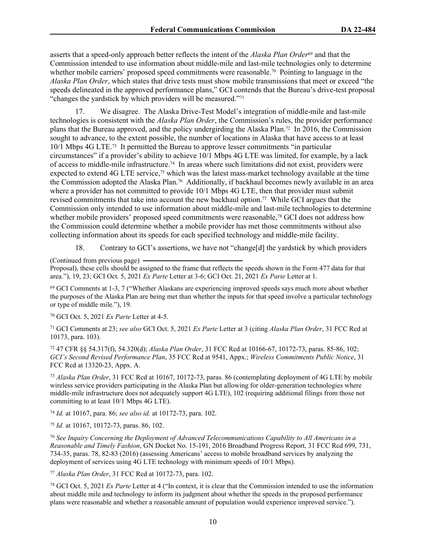asserts that a speed-only approach better reflects the intent of the *Alaska Plan Order*69 and that the Commission intended to use information about middle-mile and last-mile technologies only to determine whether mobile carriers' proposed speed commitments were reasonable.<sup>70</sup> Pointing to language in the *Alaska Plan Order*, which states that drive tests must show mobile transmissions that meet or exceed "the speeds delineated in the approved performance plans," GCI contends that the Bureau's drive-test proposal "changes the yardstick by which providers will be measured."<sup>71</sup>

17. We disagree. The Alaska Drive-Test Model's integration of middle-mile and last-mile technologies is consistent with the *Alaska Plan Order*, the Commission's rules, the provider performance plans that the Bureau approved, and the policy undergirding the Alaska Plan.72 In 2016, the Commission sought to advance, to the extent possible, the number of locations in Alaska that have access to at least 10/1 Mbps 4G LTE.73 It permitted the Bureau to approve lesser commitments "in particular circumstances" if a provider's ability to achieve 10/1 Mbps 4G LTE was limited, for example, by a lack of access to middle-mile infrastructure.74 In areas where such limitations did not exist, providers were expected to extend 4G LTE service,<sup>75</sup> which was the latest mass-market technology available at the time the Commission adopted the Alaska Plan.76 Additionally, if backhaul becomes newly available in an area where a provider has not committed to provide 10/1 Mbps 4G LTE, then that provider must submit revised commitments that take into account the new backhaul option.77 While GCI argues that the Commission only intended to use information about middle-mile and last-mile technologies to determine whether mobile providers' proposed speed commitments were reasonable,<sup>78</sup> GCI does not address how the Commission could determine whether a mobile provider has met those commitments without also collecting information about its speeds for each specified technology and middle-mile facility.

18. Contrary to GCI's assertions, we have not "change[d] the yardstick by which providers

(Continued from previous page)

Proposal), these cells should be assigned to the frame that reflects the speeds shown in the Form 477 data for that area."), 19, 23; GCI Oct. 5, 2021 *Ex Parte* Letter at 3-6; GCI Oct. 21, 2021 *Ex Parte* Letter at 1.

<sup>69</sup> GCI Comments at 1-3, 7 ("Whether Alaskans are experiencing improved speeds says much more about whether the purposes of the Alaska Plan are being met than whether the inputs for that speed involve a particular technology or type of middle mile."), 19.

<sup>70</sup> GCI Oct. 5, 2021 *Ex Parte* Letter at 4-5.

<sup>71</sup> GCI Comments at 23; *see also* GCI Oct. 5, 2021 *Ex Parte* Letter at 3 (citing *Alaska Plan Order*, 31 FCC Rcd at 10173, para. 103).

<sup>72</sup> 47 CFR §§ 54.317(f), 54.320(d); *Alaska Plan Order*, 31 FCC Rcd at 10166-67, 10172-73, paras. 85-86, 102; *GCI's Second Revised Performance Plan*, 35 FCC Rcd at 9541, Appx.; *Wireless Commitments Public Notice*, 31 FCC Rcd at 13320-23, Appx. A.

<sup>73</sup> *Alaska Plan Order*, 31 FCC Rcd at 10167, 10172-73, paras. 86 (contemplating deployment of 4G LTE by mobile wireless service providers participating in the Alaska Plan but allowing for older-generation technologies where middle-mile infrastructure does not adequately support 4G LTE), 102 (requiring additional filings from those not committing to at least 10/1 Mbps 4G LTE).

<sup>74</sup> *Id.* at 10167, para. 86; *see also id.* at 10172-73, para. 102.

<sup>75</sup> *Id.* at 10167, 10172-73, paras. 86, 102.

<sup>76</sup> *See Inquiry Concerning the Deployment of Advanced Telecommunications Capability to All Americans in a Reasonable and Timely Fashion*, GN Docket No. 15-191, 2016 Broadband Progress Report, 31 FCC Rcd 699, 731, 734-35, paras. 78, 82-83 (2016) (assessing Americans' access to mobile broadband services by analyzing the deployment of services using 4G LTE technology with minimum speeds of 10/1 Mbps).

<sup>77</sup> *Alaska Plan Order*, 31 FCC Rcd at 10172-73, para. 102.

<sup>78</sup> GCI Oct. 5, 2021 *Ex Parte* Letter at 4 ("In context, it is clear that the Commission intended to use the information about middle mile and technology to inform its judgment about whether the speeds in the proposed performance plans were reasonable and whether a reasonable amount of population would experience improved service.").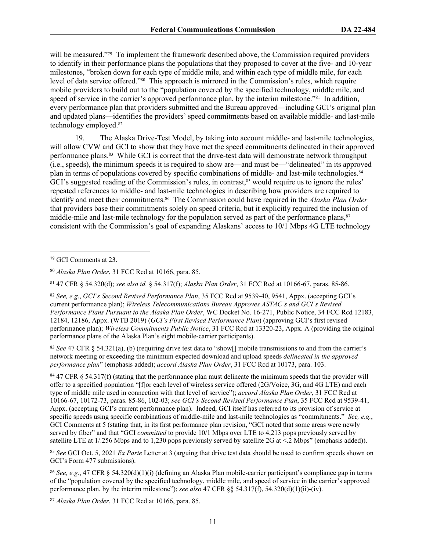will be measured."<sup>79</sup> To implement the framework described above, the Commission required providers to identify in their performance plans the populations that they proposed to cover at the five- and 10-year milestones, "broken down for each type of middle mile, and within each type of middle mile, for each level of data service offered."<sup>80</sup> This approach is mirrored in the Commission's rules, which require mobile providers to build out to the "population covered by the specified technology, middle mile, and speed of service in the carrier's approved performance plan, by the interim milestone."<sup>81</sup> In addition, every performance plan that providers submitted and the Bureau approved—including GCI's original plan and updated plans—identifies the providers' speed commitments based on available middle- and last-mile technology employed.<sup>82</sup>

19. The Alaska Drive-Test Model, by taking into account middle- and last-mile technologies, will allow CVW and GCI to show that they have met the speed commitments delineated in their approved performance plans.83 While GCI is correct that the drive-test data will demonstrate network throughput (i.e., speeds), the minimum speeds it is required to show are—and must be—"delineated" in its approved plan in terms of populations covered by specific combinations of middle- and last-mile technologies.<sup>84</sup> GCI's suggested reading of the Commission's rules, in contrast,<sup>85</sup> would require us to ignore the rules' repeated references to middle- and last-mile technologies in describing how providers are required to identify and meet their commitments.<sup>86</sup> The Commission could have required in the *Alaska Plan Order* that providers base their commitments solely on speed criteria, but it explicitly required the inclusion of middle-mile and last-mile technology for the population served as part of the performance plans,<sup>87</sup> consistent with the Commission's goal of expanding Alaskans' access to 10/1 Mbps 4G LTE technology

<sup>81</sup> 47 CFR § 54.320(d); *see also id.* § 54.317(f); *Alaska Plan Order*, 31 FCC Rcd at 10166-67, paras. 85-86.

83 *See* 47 CFR § 54.321(a), (b) (requiring drive test data to "show[] mobile transmissions to and from the carrier's network meeting or exceeding the minimum expected download and upload speeds *delineated in the approved performance plan*" (emphasis added); *accord Alaska Plan Order*, 31 FCC Rcd at 10173, para. 103.

 $84$  47 CFR § 54.317(f) (stating that the performance plan must delineate the minimum speeds that the provider will offer to a specified population "[f]or each level of wireless service offered (2G/Voice, 3G, and 4G LTE) and each type of middle mile used in connection with that level of service"); *accord Alaska Plan Order*, 31 FCC Rcd at 10166-67, 10172-73, paras. 85-86, 102-03; *see GCI's Second Revised Performance Plan*, 35 FCC Rcd at 9539-41, Appx. (accepting GCI's current performance plan). Indeed, GCI itself has referred to its provision of service at specific speeds using specific combinations of middle-mile and last-mile technologies as "commitments." *See, e.g.*, GCI Comments at 5 (stating that, in its first performance plan revision, "GCI noted that some areas were newly served by fiber" and that "GCI *committed* to provide 10/1 Mbps over LTE to 4,213 pops previously served by satellite LTE at 1/.256 Mbps and to 1,230 pops previously served by satellite 2G at <.2 Mbps" (emphasis added)).

<sup>85</sup> *See* GCI Oct. 5, 2021 *Ex Parte* Letter at 3 (arguing that drive test data should be used to confirm speeds shown on GCI's Form 477 submissions).

<sup>87</sup> *Alaska Plan Order*, 31 FCC Rcd at 10166, para. 85.

<sup>79</sup> GCI Comments at 23.

<sup>80</sup> *Alaska Plan Order*, 31 FCC Rcd at 10166, para. 85.

<sup>82</sup> *See, e.g.*, *GCI's Second Revised Performance Plan*, 35 FCC Rcd at 9539-40, 9541, Appx. (accepting GCI's current performance plan); *Wireless Telecommunications Bureau Approves ASTAC's and GCI's Revised Performance Plans Pursuant to the Alaska Plan Order*, WC Docket No. 16-271, Public Notice, 34 FCC Rcd 12183, 12184, 12186, Appx. (WTB 2019) (*GCI's First Revised Performance Plan*) (approving GCI's first revised performance plan); *Wireless Commitments Public Notice*, 31 FCC Rcd at 13320-23, Appx. A (providing the original performance plans of the Alaska Plan's eight mobile-carrier participants).

<sup>86</sup> *See, e.g.*, 47 CFR § 54.320(d)(1)(i) (defining an Alaska Plan mobile-carrier participant's compliance gap in terms of the "population covered by the specified technology, middle mile, and speed of service in the carrier's approved performance plan, by the interim milestone"); *see also* 47 CFR §§ 54.317(f), 54.320(d)(1)(ii)-(iv).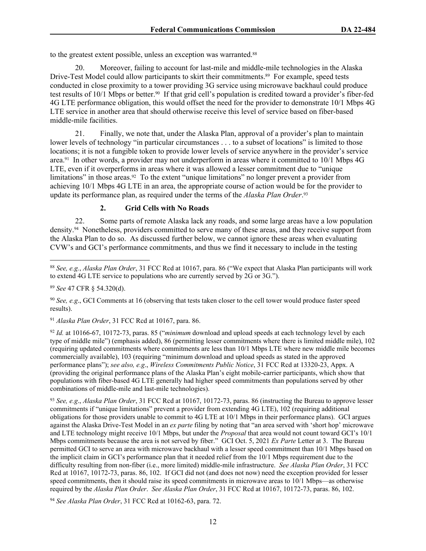to the greatest extent possible, unless an exception was warranted.<sup>88</sup>

20. Moreover, failing to account for last-mile and middle-mile technologies in the Alaska Drive-Test Model could allow participants to skirt their commitments.<sup>89</sup> For example, speed tests conducted in close proximity to a tower providing 3G service using microwave backhaul could produce test results of 10/1 Mbps or better.90 If that grid cell's population is credited toward a provider's fiber-fed 4G LTE performance obligation, this would offset the need for the provider to demonstrate 10/1 Mbps 4G LTE service in another area that should otherwise receive this level of service based on fiber-based middle-mile facilities.

21. Finally, we note that, under the Alaska Plan, approval of a provider's plan to maintain lower levels of technology "in particular circumstances . . . to a subset of locations" is limited to those locations; it is not a fungible token to provide lower levels of service anywhere in the provider's service area.91 In other words, a provider may not underperform in areas where it committed to 10/1 Mbps 4G LTE, even if it overperforms in areas where it was allowed a lesser commitment due to "unique limitations" in those areas.<sup>92</sup> To the extent "unique limitations" no longer prevent a provider from achieving 10/1 Mbps 4G LTE in an area, the appropriate course of action would be for the provider to update its performance plan, as required under the terms of the *Alaska Plan Order*. 93

#### **2. Grid Cells with No Roads**

22. Some parts of remote Alaska lack any roads, and some large areas have a low population density.94 Nonetheless, providers committed to serve many of these areas, and they receive support from the Alaska Plan to do so. As discussed further below, we cannot ignore these areas when evaluating CVW's and GCI's performance commitments, and thus we find it necessary to include in the testing

<sup>91</sup> *Alaska Plan Order*, 31 FCC Rcd at 10167, para. 86.

<sup>92</sup> *Id.* at 10166-67, 10172-73, paras. 85 ("*minimum* download and upload speeds at each technology level by each type of middle mile") (emphasis added), 86 (permitting lesser commitments where there is limited middle mile), 102 (requiring updated commitments where commitments are less than 10/1 Mbps LTE where new middle mile becomes commercially available), 103 (requiring "minimum download and upload speeds as stated in the approved performance plans"); *see also, e.g*., *Wireless Commitments Public Notice*, 31 FCC Rcd at 13320-23, Appx. A (providing the original performance plans of the Alaska Plan's eight mobile-carrier participants, which show that populations with fiber-based 4G LTE generally had higher speed commitments than populations served by other combinations of middle-mile and last-mile technologies).

<sup>93</sup> *See, e.g*., *Alaska Plan Order*, 31 FCC Rcd at 10167, 10172-73, paras. 86 (instructing the Bureau to approve lesser commitments if "unique limitations" prevent a provider from extending 4G LTE), 102 (requiring additional obligations for those providers unable to commit to 4G LTE at 10/1 Mbps in their performance plans). GCI argues against the Alaska Drive-Test Model in an *ex parte* filing by noting that "an area served with 'short hop' microwave and LTE technology might receive 10/1 Mbps, but under the *Proposal* that area would not count toward GCI's 10/1 Mbps commitments because the area is not served by fiber." GCI Oct. 5, 2021 *Ex Parte* Letter at 3. The Bureau permitted GCI to serve an area with microwave backhaul with a lesser speed commitment than 10/1 Mbps based on the implicit claim in GCI's performance plan that it needed relief from the 10/1 Mbps requirement due to the difficulty resulting from non-fiber (i.e., more limited) middle-mile infrastructure. *See Alaska Plan Order*, 31 FCC Rcd at 10167, 10172-73, paras. 86, 102. If GCI did not (and does not now) need the exception provided for lesser speed commitments, then it should raise its speed commitments in microwave areas to  $10/1$  Mbps—as otherwise required by the *Alaska Plan Order*. *See Alaska Plan Order*, 31 FCC Rcd at 10167, 10172-73, paras. 86, 102.

<sup>94</sup> *See Alaska Plan Order*, 31 FCC Rcd at 10162-63, para. 72.

<sup>88</sup> *See, e.g.*, *Alaska Plan Order*, 31 FCC Rcd at 10167, para. 86 ("We expect that Alaska Plan participants will work to extend 4G LTE service to populations who are currently served by 2G or 3G.").

<sup>89</sup> *See* 47 CFR § 54.320(d).

<sup>90</sup> *See, e.g*., GCI Comments at 16 (observing that tests taken closer to the cell tower would produce faster speed results).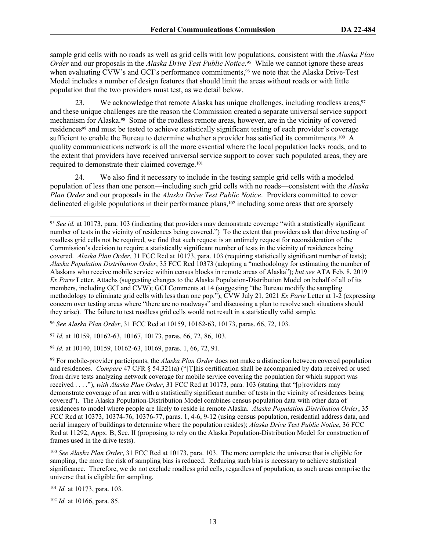sample grid cells with no roads as well as grid cells with low populations, consistent with the *Alaska Plan Order* and our proposals in the *Alaska Drive Test Public Notice*. <sup>95</sup> While we cannot ignore these areas when evaluating CVW's and GCI's performance commitments,<sup>96</sup> we note that the Alaska Drive-Test Model includes a number of design features that should limit the areas without roads or with little population that the two providers must test, as we detail below.

23. We acknowledge that remote Alaska has unique challenges, including roadless areas, <sup>97</sup> and these unique challenges are the reason the Commission created a separate universal service support mechanism for Alaska.<sup>98</sup> Some of the roadless remote areas, however, are in the vicinity of covered residences99 and must be tested to achieve statistically significant testing of each provider's coverage sufficient to enable the Bureau to determine whether a provider has satisfied its commitments.<sup>100</sup> A quality communications network is all the more essential where the local population lacks roads, and to the extent that providers have received universal service support to cover such populated areas, they are required to demonstrate their claimed coverage.<sup>101</sup>

24. We also find it necessary to include in the testing sample grid cells with a modeled population of less than one person—including such grid cells with no roads—consistent with the *Alaska Plan Order* and our proposals in the *Alaska Drive Test Public Notice*. Providers committed to cover delineated eligible populations in their performance plans,<sup>102</sup> including some areas that are sparsely

<sup>96</sup> *See Alaska Plan Order*, 31 FCC Rcd at 10159, 10162-63, 10173, paras. 66, 72, 103.

<sup>97</sup> *Id.* at 10159, 10162-63, 10167, 10173, paras. 66, 72, 86, 103.

<sup>98</sup> *Id.* at 10140, 10159, 10162-63, 10169, paras. 1, 66, 72, 91.

<sup>100</sup> *See Alaska Plan Order*, 31 FCC Rcd at 10173, para. 103. The more complete the universe that is eligible for sampling, the more the risk of sampling bias is reduced. Reducing such bias is necessary to achieve statistical significance. Therefore, we do not exclude roadless grid cells, regardless of population, as such areas comprise the universe that is eligible for sampling.

<sup>101</sup> *Id.* at 10173, para. 103.

<sup>102</sup> *Id.* at 10166, para. 85.

<sup>95</sup> *See id.* at 10173, para. 103 (indicating that providers may demonstrate coverage "with a statistically significant number of tests in the vicinity of residences being covered.") To the extent that providers ask that drive testing of roadless grid cells not be required, we find that such request is an untimely request for reconsideration of the Commission's decision to require a statistically significant number of tests in the vicinity of residences being covered. *Alaska Plan Order*, 31 FCC Rcd at 10173, para. 103 (requiring statistically significant number of tests); *Alaska Population Distribution Order*, 35 FCC Rcd 10373 (adopting a "methodology for estimating the number of Alaskans who receive mobile service within census blocks in remote areas of Alaska"); *but see* ATA Feb. 8, 2019 *Ex Parte* Letter, Attachs (suggesting changes to the Alaska Population-Distribution Model on behalf of all of its members, including GCI and CVW); GCI Comments at 14 (suggesting "the Bureau modify the sampling methodology to eliminate grid cells with less than one pop."); CVW July 21, 2021 *Ex Parte* Letter at 1-2 (expressing concern over testing areas where "there are no roadways" and discussing a plan to resolve such situations should they arise). The failure to test roadless grid cells would not result in a statistically valid sample.

<sup>99</sup> For mobile-provider participants, the *Alaska Plan Order* does not make a distinction between covered population and residences. *Compare* 47 CFR § 54.321(a) ("[T]his certification shall be accompanied by data received or used from drive tests analyzing network coverage for mobile service covering the population for which support was received . . . ."), *with Alaska Plan Order*, 31 FCC Rcd at 10173, para. 103 (stating that "[p]roviders may demonstrate coverage of an area with a statistically significant number of tests in the vicinity of residences being covered"). The Alaska Population-Distribution Model combines census population data with other data of residences to model where people are likely to reside in remote Alaska. *Alaska Population Distribution Order*, 35 FCC Rcd at 10373, 10374-76, 10376-77, paras. 1, 4-6, 9-12 (using census population, residential address data, and aerial imagery of buildings to determine where the population resides); *Alaska Drive Test Public Notice*, 36 FCC Rcd at 11292, Appx. B, Sec. II (proposing to rely on the Alaska Population-Distribution Model for construction of frames used in the drive tests).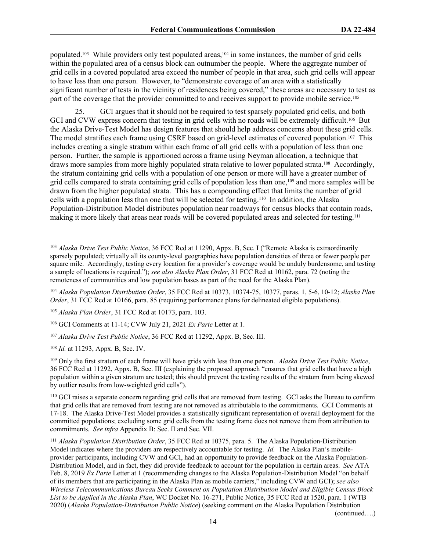populated.<sup>103</sup> While providers only test populated areas,<sup>104</sup> in some instances, the number of grid cells within the populated area of a census block can outnumber the people. Where the aggregate number of grid cells in a covered populated area exceed the number of people in that area, such grid cells will appear to have less than one person. However, to "demonstrate coverage of an area with a statistically significant number of tests in the vicinity of residences being covered," these areas are necessary to test as part of the coverage that the provider committed to and receives support to provide mobile service.<sup>105</sup>

25. GCI argues that it should not be required to test sparsely populated grid cells, and both GCI and CVW express concern that testing in grid cells with no roads will be extremely difficult.<sup>106</sup> But the Alaska Drive-Test Model has design features that should help address concerns about these grid cells. The model stratifies each frame using CSRF based on grid-level estimates of covered population.107 This includes creating a single stratum within each frame of all grid cells with a population of less than one person. Further, the sample is apportioned across a frame using Neyman allocation, a technique that draws more samples from more highly populated strata relative to lower populated strata.108 Accordingly, the stratum containing grid cells with a population of one person or more will have a greater number of grid cells compared to strata containing grid cells of population less than one,109 and more samples will be drawn from the higher populated strata. This has a compounding effect that limits the number of grid cells with a population less than one that will be selected for testing.110 In addition, the Alaska Population-Distribution Model distributes population near roadways for census blocks that contain roads, making it more likely that areas near roads will be covered populated areas and selected for testing.<sup>111</sup>

<sup>103</sup> *Alaska Drive Test Public Notice*, 36 FCC Rcd at 11290, Appx. B, Sec. I ("Remote Alaska is extraordinarily sparsely populated; virtually all its county-level geographies have population densities of three or fewer people per square mile. Accordingly, testing every location for a provider's coverage would be unduly burdensome, and testing a sample of locations is required."); *see also Alaska Plan Order*, 31 FCC Rcd at 10162, para. 72 (noting the remoteness of communities and low population bases as part of the need for the Alaska Plan).

<sup>104</sup> *Alaska Population Distribution Order*, 35 FCC Rcd at 10373, 10374-75, 10377, paras. 1, 5-6, 10-12; *Alaska Plan Order*, 31 FCC Rcd at 10166, para. 85 (requiring performance plans for delineated eligible populations).

<sup>105</sup> *Alaska Plan Order*, 31 FCC Rcd at 10173, para. 103.

<sup>106</sup> GCI Comments at 11-14; CVW July 21, 2021 *Ex Parte* Letter at 1.

<sup>107</sup> *Alaska Drive Test Public Notice*, 36 FCC Rcd at 11292, Appx. B, Sec. III.

<sup>108</sup> *Id.* at 11293, Appx. B, Sec. IV.

<sup>109</sup> Only the first stratum of each frame will have grids with less than one person. *Alaska Drive Test Public Notice*, 36 FCC Rcd at 11292, Appx. B, Sec. III (explaining the proposed approach "ensures that grid cells that have a high population within a given stratum are tested; this should prevent the testing results of the stratum from being skewed by outlier results from low-weighted grid cells").

<sup>110</sup> GCI raises a separate concern regarding grid cells that are removed from testing. GCI asks the Bureau to confirm that grid cells that are removed from testing are not removed as attributable to the commitments. GCI Comments at 17-18. The Alaska Drive-Test Model provides a statistically significant representation of overall deployment for the committed populations; excluding some grid cells from the testing frame does not remove them from attribution to commitments. *See infra* Appendix B: Sec. II and Sec. VII.

<sup>111</sup> *Alaska Population Distribution Order*, 35 FCC Rcd at 10375, para. 5. The Alaska Population-Distribution Model indicates where the providers are respectively accountable for testing. *Id.* The Alaska Plan's mobileprovider participants, including CVW and GCI, had an opportunity to provide feedback on the Alaska Population-Distribution Model, and in fact, they did provide feedback to account for the population in certain areas. *See* ATA Feb. 8, 2019 *Ex Parte* Letter at 1 (recommending changes to the Alaska Population-Distribution Model "on behalf of its members that are participating in the Alaska Plan as mobile carriers," including CVW and GCI); *see also Wireless Telecommunications Bureau Seeks Comment on Population Distribution Model and Eligible Census Block List to be Applied in the Alaska Plan*, WC Docket No. 16-271, Public Notice, 35 FCC Rcd at 1520, para. 1 (WTB 2020) (*Alaska Population-Distribution Public Notice*) (seeking comment on the Alaska Population Distribution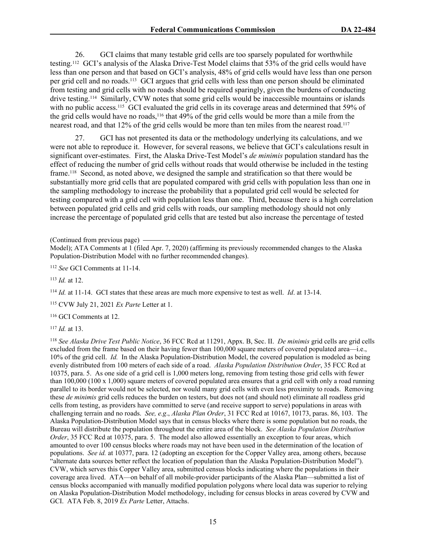26. GCI claims that many testable grid cells are too sparsely populated for worthwhile testing.112 GCI's analysis of the Alaska Drive-Test Model claims that 53% of the grid cells would have less than one person and that based on GCI's analysis, 48% of grid cells would have less than one person per grid cell and no roads.113 GCI argues that grid cells with less than one person should be eliminated from testing and grid cells with no roads should be required sparingly, given the burdens of conducting drive testing.114 Similarly, CVW notes that some grid cells would be inaccessible mountains or islands with no public access.<sup>115</sup> GCI evaluated the grid cells in its coverage areas and determined that 59% of the grid cells would have no roads,116 that 49% of the grid cells would be more than a mile from the nearest road, and that 12% of the grid cells would be more than ten miles from the nearest road.<sup>117</sup>

27. GCI has not presented its data or the methodology underlying its calculations, and we were not able to reproduce it. However, for several reasons, we believe that GCI's calculations result in significant over-estimates. First, the Alaska Drive-Test Model's *de minimis* population standard has the effect of reducing the number of grid cells without roads that would otherwise be included in the testing frame.118 Second, as noted above, we designed the sample and stratification so that there would be substantially more grid cells that are populated compared with grid cells with population less than one in the sampling methodology to increase the probability that a populated grid cell would be selected for testing compared with a grid cell with population less than one. Third, because there is a high correlation between populated grid cells and grid cells with roads, our sampling methodology should not only increase the percentage of populated grid cells that are tested but also increase the percentage of tested

(Continued from previous page)

<sup>113</sup> *Id.* at 12.

<sup>114</sup> *Id.* at 11-14. GCI states that these areas are much more expensive to test as well. *Id*. at 13-14.

<sup>115</sup> CVW July 21, 2021 *Ex Parte* Letter at 1.

<sup>116</sup> GCI Comments at 12.

<sup>117</sup> *Id.* at 13.

<sup>118</sup> *See Alaska Drive Test Public Notice*, 36 FCC Rcd at 11291, Appx. B, Sec. II. *De minimis* grid cells are grid cells excluded from the frame based on their having fewer than 100,000 square meters of covered populated area—i.e., 10% of the grid cell. *Id.* In the Alaska Population-Distribution Model, the covered population is modeled as being evenly distributed from 100 meters of each side of a road. *Alaska Population Distribution Order*, 35 FCC Rcd at 10375, para. 5. As one side of a grid cell is 1,000 meters long, removing from testing those grid cells with fewer than 100,000 (100 x 1,000) square meters of covered populated area ensures that a grid cell with only a road running parallel to its border would not be selected, nor would many grid cells with even less proximity to roads. Removing these *de minimis* grid cells reduces the burden on testers, but does not (and should not) eliminate all roadless grid cells from testing, as providers have committed to serve (and receive support to serve) populations in areas with challenging terrain and no roads. *See, e.g*., *Alaska Plan Order*, 31 FCC Rcd at 10167, 10173, paras. 86, 103. The Alaska Population-Distribution Model says that in census blocks where there is some population but no roads, the Bureau will distribute the population throughout the entire area of the block. *See Alaska Population Distribution Order*, 35 FCC Rcd at 10375, para. 5. The model also allowed essentially an exception to four areas, which amounted to over 100 census blocks where roads may not have been used in the determination of the location of populations. *See id.* at 10377, para. 12 (adopting an exception for the Copper Valley area, among others, because "alternate data sources better reflect the location of population than the Alaska Population-Distribution Model"). CVW, which serves this Copper Valley area, submitted census blocks indicating where the populations in their coverage area lived. ATA—on behalf of all mobile-provider participants of the Alaska Plan—submitted a list of census blocks accompanied with manually modified population polygons where local data was superior to relying on Alaska Population-Distribution Model methodology, including for census blocks in areas covered by CVW and GCI. ATA Feb. 8, 2019 *Ex Parte* Letter, Attachs.

Model); ATA Comments at 1 (filed Apr. 7, 2020) (affirming its previously recommended changes to the Alaska Population-Distribution Model with no further recommended changes).

<sup>112</sup> *See* GCI Comments at 11-14.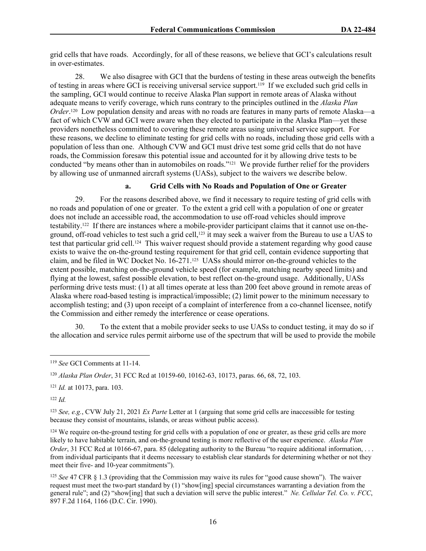grid cells that have roads. Accordingly, for all of these reasons, we believe that GCI's calculations result in over-estimates.

28. We also disagree with GCI that the burdens of testing in these areas outweigh the benefits of testing in areas where GCI is receiving universal service support.119 If we excluded such grid cells in the sampling, GCI would continue to receive Alaska Plan support in remote areas of Alaska without adequate means to verify coverage, which runs contrary to the principles outlined in the *Alaska Plan Order*<sup>120</sup> Low population density and areas with no roads are features in many parts of remote Alaska—a fact of which CVW and GCI were aware when they elected to participate in the Alaska Plan—yet these providers nonetheless committed to covering these remote areas using universal service support. For these reasons, we decline to eliminate testing for grid cells with no roads, including those grid cells with a population of less than one. Although CVW and GCI must drive test some grid cells that do not have roads, the Commission foresaw this potential issue and accounted for it by allowing drive tests to be conducted "by means other than in automobiles on roads."121 We provide further relief for the providers by allowing use of unmanned aircraft systems (UASs), subject to the waivers we describe below.

#### **a. Grid Cells with No Roads and Population of One or Greater**

29. For the reasons described above, we find it necessary to require testing of grid cells with no roads and population of one or greater. To the extent a grid cell with a population of one or greater does not include an accessible road, the accommodation to use off-road vehicles should improve testability.122 If there are instances where a mobile-provider participant claims that it cannot use on-theground, off-road vehicles to test such a grid cell,<sup>123</sup> it may seek a waiver from the Bureau to use a UAS to test that particular grid cell.124 This waiver request should provide a statement regarding why good cause exists to waive the on-the-ground testing requirement for that grid cell, contain evidence supporting that claim, and be filed in WC Docket No. 16-271.125 UASs should mirror on-the-ground vehicles to the extent possible, matching on-the-ground vehicle speed (for example, matching nearby speed limits) and flying at the lowest, safest possible elevation, to best reflect on-the-ground usage. Additionally, UASs performing drive tests must: (1) at all times operate at less than 200 feet above ground in remote areas of Alaska where road-based testing is impractical/impossible; (2) limit power to the minimum necessary to accomplish testing; and (3) upon receipt of a complaint of interference from a co-channel licensee, notify the Commission and either remedy the interference or cease operations.

30. To the extent that a mobile provider seeks to use UASs to conduct testing, it may do so if the allocation and service rules permit airborne use of the spectrum that will be used to provide the mobile

<sup>122</sup> *Id.*

<sup>123</sup> *See, e.g.*, CVW July 21, 2021 *Ex Parte* Letter at 1 (arguing that some grid cells are inaccessible for testing because they consist of mountains, islands, or areas without public access).

<sup>124</sup> We require on-the-ground testing for grid cells with a population of one or greater, as these grid cells are more likely to have habitable terrain, and on-the-ground testing is more reflective of the user experience. *Alaska Plan Order*, 31 FCC Rcd at 10166-67, para. 85 (delegating authority to the Bureau "to require additional information, ... from individual participants that it deems necessary to establish clear standards for determining whether or not they meet their five- and 10-year commitments").

<sup>125</sup> *See* 47 CFR § 1.3 (providing that the Commission may waive its rules for "good cause shown"). The waiver request must meet the two-part standard by (1) "show[ing] special circumstances warranting a deviation from the general rule"; and (2) "show[ing] that such a deviation will serve the public interest." *Ne. Cellular Tel. Co. v. FCC*, 897 F.2d 1164, 1166 (D.C. Cir. 1990).

<sup>119</sup> *See* GCI Comments at 11-14.

<sup>120</sup> *Alaska Plan Order*, 31 FCC Rcd at 10159-60, 10162-63, 10173, paras. 66, 68, 72, 103.

<sup>121</sup> *Id.* at 10173, para. 103.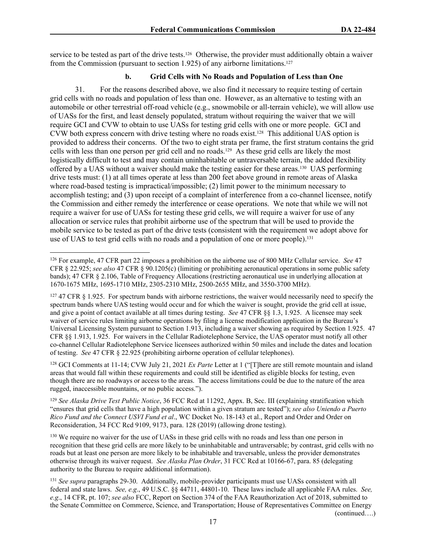service to be tested as part of the drive tests.126 Otherwise, the provider must additionally obtain a waiver from the Commission (pursuant to section 1.925) of any airborne limitations.<sup>127</sup>

#### **b. Grid Cells with No Roads and Population of Less than One**

31. For the reasons described above, we also find it necessary to require testing of certain grid cells with no roads and population of less than one. However, as an alternative to testing with an automobile or other terrestrial off-road vehicle (e.g., snowmobile or all-terrain vehicle), we will allow use of UASs for the first, and least densely populated, stratum without requiring the waiver that we will require GCI and CVW to obtain to use UASs for testing grid cells with one or more people. GCI and CVW both express concern with drive testing where no roads exist.<sup>128</sup> This additional UAS option is provided to address their concerns. Of the two to eight strata per frame, the first stratum contains the grid cells with less than one person per grid cell and no roads.129 As these grid cells are likely the most logistically difficult to test and may contain uninhabitable or untraversable terrain, the added flexibility offered by a UAS without a waiver should make the testing easier for these areas.130 UAS performing drive tests must: (1) at all times operate at less than 200 feet above ground in remote areas of Alaska where road-based testing is impractical/impossible; (2) limit power to the minimum necessary to accomplish testing; and (3) upon receipt of a complaint of interference from a co-channel licensee, notify the Commission and either remedy the interference or cease operations. We note that while we will not require a waiver for use of UASs for testing these grid cells, we will require a waiver for use of any allocation or service rules that prohibit airborne use of the spectrum that will be used to provide the mobile service to be tested as part of the drive tests (consistent with the requirement we adopt above for use of UAS to test grid cells with no roads and a population of one or more people).<sup>131</sup>

<sup>128</sup> GCI Comments at 11-14; CVW July 21, 2021 *Ex Parte* Letter at 1 ("[T]here are still remote mountain and island areas that would fall within these requirements and could still be identified as eligible blocks for testing, even though there are no roadways or access to the areas. The access limitations could be due to the nature of the area rugged, inaccessible mountains, or no public access.").

<sup>129</sup> *See Alaska Drive Test Public Notice*, 36 FCC Rcd at 11292, Appx. B, Sec. III (explaining stratification which "ensures that grid cells that have a high population within a given stratum are tested"); *see also Uniendo a Puerto Rico Fund and the Connect USVI Fund et al*., WC Docket No. 18-143 et al., Report and Order and Order on Reconsideration, 34 FCC Rcd 9109, 9173, para. 128 (2019) (allowing drone testing).

<sup>130</sup> We require no waiver for the use of UASs in these grid cells with no roads and less than one person in recognition that these grid cells are more likely to be uninhabitable and untraversable; by contrast, grid cells with no roads but at least one person are more likely to be inhabitable and traversable, unless the provider demonstrates otherwise through its waiver request. *See Alaska Plan Order*, 31 FCC Rcd at 10166-67, para. 85 (delegating authority to the Bureau to require additional information).

<sup>131</sup> *See supra* paragraphs 29-30. Additionally, mobile-provider participants must use UASs consistent with all federal and state laws. *See, e.g*., 49 U.S.C. §§ 44711, 44801-10. These laws include all applicable FAA rules. *See, e.g*., 14 CFR, pt. 107; *see also* FCC, Report on Section 374 of the FAA Reauthorization Act of 2018, submitted to the Senate Committee on Commerce, Science, and Transportation; House of Representatives Committee on Energy

(continued….)

<sup>126</sup> For example, 47 CFR part 22 imposes a prohibition on the airborne use of 800 MHz Cellular service. *See* 47 CFR § 22.925; *see also* 47 CFR § 90.1205(c) (limiting or prohibiting aeronautical operations in some public safety bands); 47 CFR § 2.106, Table of Frequency Allocations (restricting aeronautical use in underlying allocation at 1670-1675 MHz, 1695-1710 MHz, 2305-2310 MHz, 2500-2655 MHz, and 3550-3700 MHz).

 $127$  47 CFR § 1.925. For spectrum bands with airborne restrictions, the waiver would necessarily need to specify the spectrum bands where UAS testing would occur and for which the waiver is sought, provide the grid cell at issue, and give a point of contact available at all times during testing. *See* 47 CFR §§ 1.3, 1.925. A licensee may seek waiver of service rules limiting airborne operations by filing a license modification application in the Bureau's Universal Licensing System pursuant to Section 1.913, including a waiver showing as required by Section 1.925. 47 CFR §§ 1.913, 1.925. For waivers in the Cellular Radiotelephone Service, the UAS operator must notify all other co-channel Cellular Radiotelephone Service licensees authorized within 50 miles and include the dates and location of testing. *See* 47 CFR § 22.925 (prohibiting airborne operation of cellular telephones).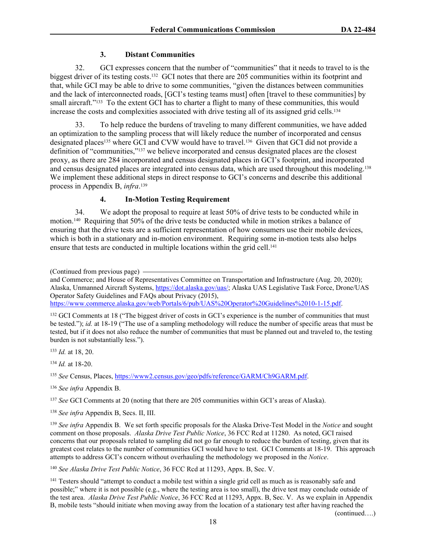#### **3. Distant Communities**

32. GCI expresses concern that the number of "communities" that it needs to travel to is the biggest driver of its testing costs.132 GCI notes that there are 205 communities within its footprint and that, while GCI may be able to drive to some communities, "given the distances between communities and the lack of interconnected roads, [GCI's testing teams must] often [travel to these communities] by small aircraft."<sup>133</sup> To the extent GCI has to charter a flight to many of these communities, this would increase the costs and complexities associated with drive testing all of its assigned grid cells.<sup>134</sup>

33. To help reduce the burdens of traveling to many different communities, we have added an optimization to the sampling process that will likely reduce the number of incorporated and census designated places<sup>135</sup> where GCI and CVW would have to travel.<sup>136</sup> Given that GCI did not provide a definition of "communities,"137 we believe incorporated and census designated places are the closest proxy, as there are 284 incorporated and census designated places in GCI's footprint, and incorporated and census designated places are integrated into census data, which are used throughout this modeling.<sup>138</sup> We implement these additional steps in direct response to GCI's concerns and describe this additional process in Appendix B, *infra*. 139

#### **4. In-Motion Testing Requirement**

34. We adopt the proposal to require at least 50% of drive tests to be conducted while in motion.140 Requiring that 50% of the drive tests be conducted while in motion strikes a balance of ensuring that the drive tests are a sufficient representation of how consumers use their mobile devices, which is both in a stationary and in-motion environment. Requiring some in-motion tests also helps ensure that tests are conducted in multiple locations within the grid cell.<sup>141</sup>

(Continued from previous page)

and Commerce; and House of Representatives Committee on Transportation and Infrastructure (Aug. 20, 2020); Alaska, Unmanned Aircraft Systems, <https://dot.alaska.gov/uas/>; Alaska UAS Legislative Task Force, Drone/UAS Operator Safety Guidelines and FAQs about Privacy (2015), <https://www.commerce.alaska.gov/web/Portals/6/pub/UAS%20Operator%20Guidelines%2010-1-15.pdf>.

<sup>132</sup> GCI Comments at 18 ("The biggest driver of costs in GCI's experience is the number of communities that must be tested."); *id.* at 18-19 ("The use of a sampling methodology will reduce the number of specific areas that must be tested, but if it does not also reduce the number of communities that must be planned out and traveled to, the testing burden is not substantially less.").

<sup>133</sup> *Id.* at 18, 20.

<sup>134</sup> *Id.* at 18-20.

<sup>135</sup> *See* Census, Places,<https://www2.census.gov/geo/pdfs/reference/GARM/Ch9GARM.pdf>.

<sup>136</sup> *See infra* Appendix B.

<sup>137</sup> *See* GCI Comments at 20 (noting that there are 205 communities within GCI's areas of Alaska).

<sup>138</sup> *See infra* Appendix B, Secs. II, III.

<sup>139</sup> *See infra* Appendix B. We set forth specific proposals for the Alaska Drive-Test Model in the *Notice* and sought comment on those proposals. *Alaska Drive Test Public Notice*, 36 FCC Rcd at 11280. As noted, GCI raised concerns that our proposals related to sampling did not go far enough to reduce the burden of testing, given that its greatest cost relates to the number of communities GCI would have to test. GCI Comments at 18-19. This approach attempts to address GCI's concern without overhauling the methodology we proposed in the *Notice*.

<sup>140</sup> *See Alaska Drive Test Public Notice*, 36 FCC Rcd at 11293, Appx. B, Sec. V.

<sup>141</sup> Testers should "attempt to conduct a mobile test within a single grid cell as much as is reasonably safe and possible;" where it is not possible (e.g., where the testing area is too small), the drive test may conclude outside of the test area. *Alaska Drive Test Public Notice*, 36 FCC Rcd at 11293, Appx. B, Sec. V. As we explain in Appendix B, mobile tests "should initiate when moving away from the location of a stationary test after having reached the

(continued….)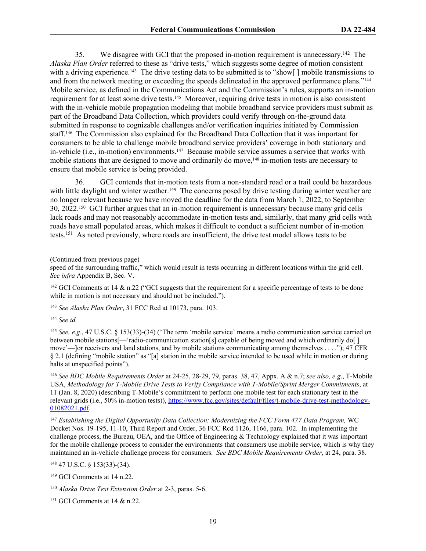35. We disagree with GCI that the proposed in-motion requirement is unnecessary.<sup>142</sup> The *Alaska Plan Order* referred to these as "drive tests," which suggests some degree of motion consistent with a driving experience.<sup>143</sup> The drive testing data to be submitted is to "show[] mobile transmissions to and from the network meeting or exceeding the speeds delineated in the approved performance plans."<sup>144</sup> Mobile service, as defined in the Communications Act and the Commission's rules, supports an in-motion requirement for at least some drive tests.145 Moreover, requiring drive tests in motion is also consistent with the in-vehicle mobile propagation modeling that mobile broadband service providers must submit as part of the Broadband Data Collection, which providers could verify through on-the-ground data submitted in response to cognizable challenges and/or verification inquiries initiated by Commission staff.146 The Commission also explained for the Broadband Data Collection that it was important for consumers to be able to challenge mobile broadband service providers' coverage in both stationary and in-vehicle (i.e., in-motion) environments.147 Because mobile service assumes a service that works with mobile stations that are designed to move and ordinarily do move,<sup>148</sup> in-motion tests are necessary to ensure that mobile service is being provided.

36. GCI contends that in-motion tests from a non-standard road or a trail could be hazardous with little daylight and winter weather.<sup>149</sup> The concerns posed by drive testing during winter weather are no longer relevant because we have moved the deadline for the data from March 1, 2022, to September 30, 2022.150 GCI further argues that an in-motion requirement is unnecessary because many grid cells lack roads and may not reasonably accommodate in-motion tests and, similarly, that many grid cells with roads have small populated areas, which makes it difficult to conduct a sufficient number of in-motion tests.<sup>151</sup> As noted previously, where roads are insufficient, the drive test model allows tests to be

(Continued from previous page)

<sup>142</sup> GCI Comments at 14  $\&$  n.22 ("GCI suggests that the requirement for a specific percentage of tests to be done while in motion is not necessary and should not be included.").

<sup>143</sup> *See Alaska Plan Order*, 31 FCC Rcd at 10173, para. 103.

<sup>144</sup> *See id.*

<sup>145</sup> *See, e.g*., 47 U.S.C. § 153(33)-(34) ("The term 'mobile service' means a radio communication service carried on between mobile stations[—'radio-communicatio[n station\[s\] c](https://www.law.cornell.edu/definitions/uscode.php?width=840&height=800&iframe=true&def_id=47-USC-1897135820-1952898718&term_occur=999&term_src=title:47:chapter:5:subchapter:I:section:153)apable of being moved and which ordinarily do[ ] move'—]or receivers and land stations, and by mobile stations communicating among themselves . . . ."); 47 CFR § 2.1 (defining "mobile station" as "[a] station in the mobile service intended to be used while in motion or during halts at unspecified points").

<sup>146</sup> *See BDC Mobile Requirements Order* at 24-25, 28-29, 79, paras. 38, 47, Appx. A & n.7; *see also, e.g*., T-Mobile USA, *Methodology for T-Mobile Drive Tests to Verify Compliance with T-Mobile/Sprint Merger Commitments*, at 11 (Jan. 8, 2020) (describing T-Mobile's commitment to perform one mobile test for each stationary test in the relevant grids (i.e., 50% in-motion tests)), [https://www.fcc.gov/sites/default/files/t-mobile-drive-test-methodology-](https://www.fcc.gov/sites/default/files/t-mobile-drive-test-methodology-01082021.pdf)[01082021.pdf.](https://www.fcc.gov/sites/default/files/t-mobile-drive-test-methodology-01082021.pdf)

<sup>147</sup> *Establishing the Digital Opportunity Data Collection; Modernizing the FCC Form 477 Data Program,* WC Docket Nos. 19-195, 11-10, Third Report and Order, 36 FCC Rcd 1126, 1166, para. 102. In implementing the challenge process, the Bureau, OEA, and the Office of Engineering & Technology explained that it was important for the mobile challenge process to consider the environments that consumers use mobile service, which is why they maintained an in-vehicle challenge process for consumers. *See BDC Mobile Requirements Order*, at 24, para. 38.

<sup>148</sup> 47 U.S.C. § 153(33)-(34).

speed of the surrounding traffic," which would result in tests occurring in different locations within the grid cell. *See infra* Appendix B, Sec. V.

<sup>149</sup> GCI Comments at 14 n.22.

<sup>150</sup> *Alaska Drive Test Extension Order* at 2-3, paras. 5-6.

<sup>151</sup> GCI Comments at 14 & n.22.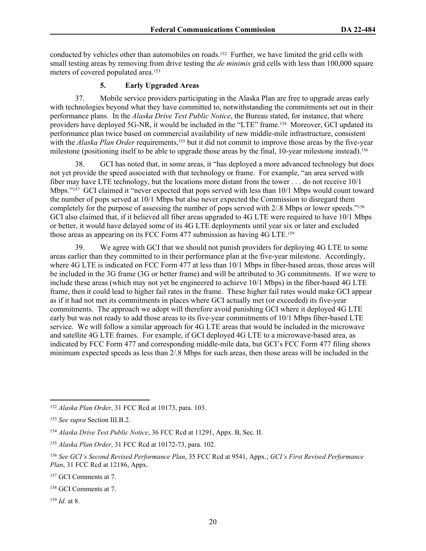conducted by vehicles other than automobiles on roads.152 Further, we have limited the grid cells with small testing areas by removing from drive testing the *de minimis* grid cells with less than 100,000 square meters of covered populated area.<sup>153</sup>

#### **5. Early Upgraded Areas**

37. Mobile service providers participating in the Alaska Plan are free to upgrade areas early with technologies beyond what they have committed to, notwithstanding the commitments set out in their performance plans. In the *Alaska Drive Test Public Notice*, the Bureau stated, for instance, that where providers have deployed 5G-NR, it would be included in the "LTE" frame.<sup>154</sup> Moreover, GCI updated its performance plan twice based on commercial availability of new middle-mile infrastructure, consistent with the *Alaska Plan Order* requirements,<sup>155</sup> but it did not commit to improve those areas by the five-year milestone (positioning itself to be able to upgrade those areas by the final, 10-year milestone instead).<sup>156</sup>

38. GCI has noted that, in some areas, it "has deployed a more advanced technology but does not yet provide the speed associated with that technology or frame. For example, "an area served with fiber may have LTE technology, but the locations more distant from the tower . . . do not receive 10/1 Mbps."157 GCI claimed it "never expected that pops served with less than 10/1 Mbps would count toward the number of pops served at 10/1 Mbps but also never expected the Commission to disregard them completely for the purpose of assessing the number of pops served with 2/.8 Mbps or lower speeds."<sup>158</sup> GCI also claimed that, if it believed all fiber areas upgraded to 4G LTE were required to have 10/1 Mbps or better, it would have delayed some of its 4G LTE deployments until year six or later and excluded those areas as appearing on its FCC Form 477 submission as having 4G LTE.<sup>159</sup>

39. We agree with GCI that we should not punish providers for deploying 4G LTE to some areas earlier than they committed to in their performance plan at the five-year milestone. Accordingly, where 4G LTE is indicated on FCC Form 477 at less than  $10/1$  Mbps in fiber-based areas, those areas will be included in the 3G frame (3G or better frame) and will be attributed to 3G commitments. If we were to include these areas (which may not yet be engineered to achieve 10/1 Mbps) in the fiber-based 4G LTE frame, then it could lead to higher fail rates in the frame. These higher fail rates would make GCI appear as if it had not met its commitments in places where GCI actually met (or exceeded) its five-year commitments. The approach we adopt will therefore avoid punishing GCI where it deployed 4G LTE early but was not ready to add those areas to its five-year commitments of 10/1 Mbps fiber-based LTE service. We will follow a similar approach for 4G LTE areas that would be included in the microwave and satellite 4G LTE frames. For example, if GCI deployed 4G LTE to a microwave-based area, as indicated by FCC Form 477 and corresponding middle-mile data, but GCI's FCC Form 477 filing shows minimum expected speeds as less than 2/.8 Mbps for such areas, then those areas will be included in the

<sup>158</sup> GCI Comments at 7.

<sup>159</sup> *Id.* at 8.

<sup>152</sup> *Alaska Plan Order*, 31 FCC Rcd at 10173, para. 103.

<sup>153</sup> *See supra* Section III.B.2.

<sup>154</sup> *Alaska Drive Test Public Notice*, 36 FCC Rcd at 11291, Appx. B, Sec. II.

<sup>155</sup> *Alaska Plan Order*, 31 FCC Rcd at 10172-73, para. 102.

<sup>156</sup> *See GCI's Second Revised Performance Plan*, 35 FCC Rcd at 9541, Appx.; *GCI's First Revised Performance Plan*, 31 FCC Rcd at 12186, Appx.

<sup>157</sup> GCI Comments at 7.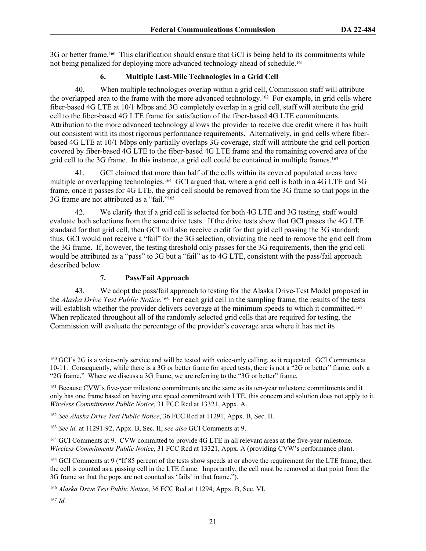3G or better frame.160 This clarification should ensure that GCI is being held to its commitments while not being penalized for deploying more advanced technology ahead of schedule.<sup>161</sup>

#### **6. Multiple Last-Mile Technologies in a Grid Cell**

40. When multiple technologies overlap within a grid cell, Commission staff will attribute the overlapped area to the frame with the more advanced technology.162 For example, in grid cells where fiber-based 4G LTE at 10/1 Mbps and 3G completely overlap in a grid cell, staff will attribute the grid cell to the fiber-based 4G LTE frame for satisfaction of the fiber-based 4G LTE commitments. Attribution to the more advanced technology allows the provider to receive due credit where it has built out consistent with its most rigorous performance requirements. Alternatively, in grid cells where fiberbased 4G LTE at 10/1 Mbps only partially overlaps 3G coverage, staff will attribute the grid cell portion covered by fiber-based 4G LTE to the fiber-based 4G LTE frame and the remaining covered area of the grid cell to the 3G frame. In this instance, a grid cell could be contained in multiple frames.<sup>163</sup>

41. GCI claimed that more than half of the cells within its covered populated areas have multiple or overlapping technologies.164 GCI argued that, where a grid cell is both in a 4G LTE and 3G frame, once it passes for 4G LTE, the grid cell should be removed from the 3G frame so that pops in the 3G frame are not attributed as a "fail."<sup>165</sup>

42. We clarify that if a grid cell is selected for both 4G LTE and 3G testing, staff would evaluate both selections from the same drive tests. If the drive tests show that GCI passes the 4G LTE standard for that grid cell, then GCI will also receive credit for that grid cell passing the 3G standard; thus, GCI would not receive a "fail" for the 3G selection, obviating the need to remove the grid cell from the 3G frame. If, however, the testing threshold only passes for the 3G requirements, then the grid cell would be attributed as a "pass" to 3G but a "fail" as to 4G LTE, consistent with the pass/fail approach described below.

#### **7. Pass/Fail Approach**

43. We adopt the pass/fail approach to testing for the Alaska Drive-Test Model proposed in the *Alaska Drive Test Public Notice*. <sup>166</sup> For each grid cell in the sampling frame, the results of the tests will establish whether the provider delivers coverage at the minimum speeds to which it committed.<sup>167</sup> When replicated throughout all of the randomly selected grid cells that are required for testing, the Commission will evaluate the percentage of the provider's coverage area where it has met its

<sup>&</sup>lt;sup>160</sup> GCI's 2G is a voice-only service and will be tested with voice-only calling, as it requested. GCI Comments at 10-11. Consequently, while there is a 3G or better frame for speed tests, there is not a "2G or better" frame, only a "2G frame." Where we discuss a 3G frame, we are referring to the "3G or better" frame.

<sup>&</sup>lt;sup>161</sup> Because CVW's five-year milestone commitments are the same as its ten-year milestone commitments and it only has one frame based on having one speed commitment with LTE, this concern and solution does not apply to it. *Wireless Commitments Public Notice*, 31 FCC Rcd at 13321, Appx. A.

<sup>162</sup> *See Alaska Drive Test Public Notice*, 36 FCC Rcd at 11291, Appx. B, Sec. II.

<sup>163</sup> *See id.* at 11291-92, Appx. B, Sec. II; *see also* GCI Comments at 9.

<sup>164</sup> GCI Comments at 9. CVW committed to provide 4G LTE in all relevant areas at the five-year milestone. *Wireless Commitments Public Notice*, 31 FCC Rcd at 13321, Appx. A (providing CVW's performance plan).

<sup>&</sup>lt;sup>165</sup> GCI Comments at 9 ("If 85 percent of the tests show speeds at or above the requirement for the LTE frame, then the cell is counted as a passing cell in the LTE frame. Importantly, the cell must be removed at that point from the 3G frame so that the pops are not counted as 'fails' in that frame.").

<sup>166</sup> *Alaska Drive Test Public Notice*, 36 FCC Rcd at 11294, Appx. B, Sec. VI.

<sup>167</sup> *Id*.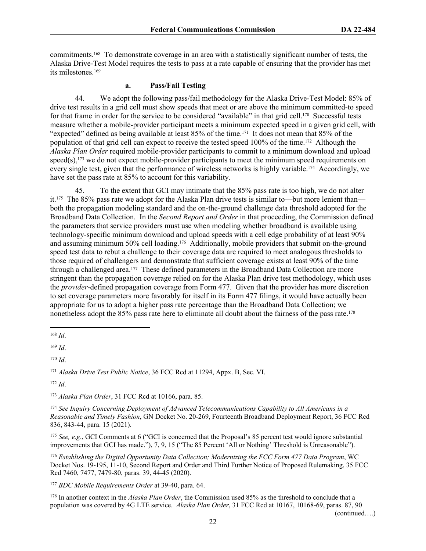commitments.168 To demonstrate coverage in an area with a statistically significant number of tests, the Alaska Drive-Test Model requires the tests to pass at a rate capable of ensuring that the provider has met its milestones.<sup>169</sup>

#### **a. Pass/Fail Testing**

44. We adopt the following pass/fail methodology for the Alaska Drive-Test Model: 85% of drive test results in a grid cell must show speeds that meet or are above the minimum committed-to speed for that frame in order for the service to be considered "available" in that grid cell.170 Successful tests measure whether a mobile-provider participant meets a minimum expected speed in a given grid cell, with "expected" defined as being available at least 85% of the time.171 It does not mean that 85% of the population of that grid cell can expect to receive the tested speed 100% of the time.172 Although the *Alaska Plan Order* required mobile-provider participants to commit to a minimum download and upload speed(s),<sup>173</sup> we do not expect mobile-provider participants to meet the minimum speed requirements on every single test, given that the performance of wireless networks is highly variable.174 Accordingly, we have set the pass rate at 85% to account for this variability.

45. To the extent that GCI may intimate that the 85% pass rate is too high, we do not alter it.175 The 85% pass rate we adopt for the Alaska Plan drive tests is similar to—but more lenient than both the propagation modeling standard and the on-the-ground challenge data threshold adopted for the Broadband Data Collection. In the *Second Report and Order* in that proceeding, the Commission defined the parameters that service providers must use when modeling whether broadband is available using technology-specific minimum download and upload speeds with a cell edge probability of at least 90% and assuming minimum 50% cell loading.<sup>176</sup> Additionally, mobile providers that submit on-the-ground speed test data to rebut a challenge to their coverage data are required to meet analogous thresholds to those required of challengers and demonstrate that sufficient coverage exists at least 90% of the time through a challenged area.177 These defined parameters in the Broadband Data Collection are more stringent than the propagation coverage relied on for the Alaska Plan drive test methodology, which uses the *provider*-defined propagation coverage from Form 477. Given that the provider has more discretion to set coverage parameters more favorably for itself in its Form 477 filings, it would have actually been appropriate for us to adopt a higher pass rate percentage than the Broadband Data Collection; we nonetheless adopt the 85% pass rate here to eliminate all doubt about the fairness of the pass rate.<sup>178</sup>

<sup>169</sup> *Id*.

<sup>170</sup> *Id*.

<sup>171</sup> *Alaska Drive Test Public Notice*, 36 FCC Rcd at 11294, Appx. B, Sec. VI.

<sup>172</sup> *Id*.

<sup>173</sup> *Alaska Plan Order*, 31 FCC Rcd at 10166, para. 85.

<sup>174</sup> *See Inquiry Concerning Deployment of Advanced Telecommunications Capability to All Americans in a Reasonable and Timely Fashion*, GN Docket No. 20-269, Fourteenth Broadband Deployment Report, 36 FCC Rcd 836, 843-44, para. 15 (2021).

<sup>175</sup> *See, e.g*., GCI Comments at 6 ("GCI is concerned that the Proposal's 85 percent test would ignore substantial improvements that GCI has made."), 7, 9, 15 ("The 85 Percent 'All or Nothing' Threshold is Unreasonable").

<sup>176</sup> *Establishing the Digital Opportunity Data Collection; Modernizing the FCC Form 477 Data Program*, WC Docket Nos. 19-195, 11-10, Second Report and Order and Third Further Notice of Proposed Rulemaking, 35 FCC Rcd 7460, 7477, 7479-80, paras. 39, 44-45 (2020).

<sup>177</sup> *BDC Mobile Requirements Order* at 39-40, para. 64.

<sup>178</sup> In another context in the *Alaska Plan Order*, the Commission used 85% as the threshold to conclude that a population was covered by 4G LTE service. *Alaska Plan Order*, 31 FCC Rcd at 10167, 10168-69, paras. 87, 90

(continued….)

<sup>168</sup> *Id*.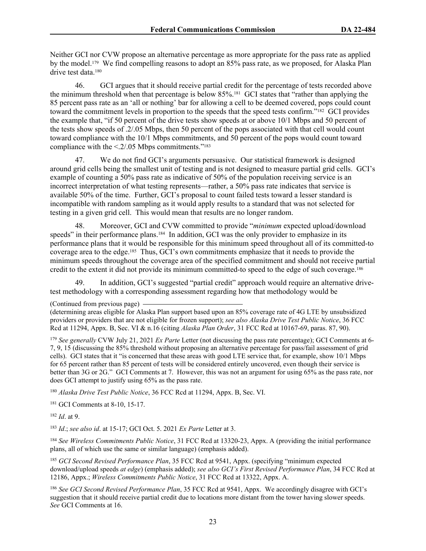Neither GCI nor CVW propose an alternative percentage as more appropriate for the pass rate as applied by the model.179 We find compelling reasons to adopt an 85% pass rate, as we proposed, for Alaska Plan drive test data.<sup>180</sup>

46. GCI argues that it should receive partial credit for the percentage of tests recorded above the minimum threshold when that percentage is below 85%.181 GCI states that "rather than applying the 85 percent pass rate as an 'all or nothing' bar for allowing a cell to be deemed covered, pops could count toward the commitment levels in proportion to the speeds that the speed tests confirm."<sup>182</sup> GCI provides the example that, "if 50 percent of the drive tests show speeds at or above 10/1 Mbps and 50 percent of the tests show speeds of .2/.05 Mbps, then 50 percent of the pops associated with that cell would count toward compliance with the 10/1 Mbps commitments, and 50 percent of the pops would count toward compliance with the  $\leq$  2/.05 Mbps commitments."<sup>183</sup>

47. We do not find GCI's arguments persuasive. Our statistical framework is designed around grid cells being the smallest unit of testing and is not designed to measure partial grid cells. GCI's example of counting a 50% pass rate as indicative of 50% of the population receiving service is an incorrect interpretation of what testing represents—rather, a 50% pass rate indicates that service is available 50% of the time. Further, GCI's proposal to count failed tests toward a lesser standard is incompatible with random sampling as it would apply results to a standard that was not selected for testing in a given grid cell. This would mean that results are no longer random.

48. Moreover, GCI and CVW committed to provide "*minimum* expected upload/download speeds" in their performance plans.<sup>184</sup> In addition, GCI was the only provider to emphasize in its performance plans that it would be responsible for this minimum speed throughout all of its committed-to coverage area to the edge.185 Thus, GCI's own commitments emphasize that it needs to provide the minimum speeds throughout the coverage area of the specified commitment and should not receive partial credit to the extent it did not provide its minimum committed-to speed to the edge of such coverage.<sup>186</sup>

49. In addition, GCI's suggested "partial credit" approach would require an alternative drivetest methodology with a corresponding assessment regarding how that methodology would be

<sup>179</sup> *See generally* CVW July 21, 2021 *Ex Parte* Letter (not discussing the pass rate percentage); GCI Comments at 6- 7, 9, 15 (discussing the 85% threshold without proposing an alternative percentage for pass/fail assessment of grid cells). GCI states that it "is concerned that these areas with good LTE service that, for example, show 10/1 Mbps for 65 percent rather than 85 percent of tests will be considered entirely uncovered, even though their service is better than 3G or 2G." GCI Comments at 7. However, this was not an argument for using 65% as the pass rate, nor does GCI attempt to justify using 65% as the pass rate.

<sup>180</sup> *Alaska Drive Test Public Notice*, 36 FCC Rcd at 11294, Appx. B, Sec. VI.

<sup>181</sup> GCI Comments at 8-10, 15-17.

<sup>182</sup> *Id*. at 9.

<sup>183</sup> *Id*.; *see also id*. at 15-17; GCI Oct. 5. 2021 *Ex Parte* Letter at 3.

<sup>184</sup> See Wireless Commitments Public Notice, 31 FCC Rcd at 13320-23, Appx. A (providing the initial performance plans, all of which use the same or similar language) (emphasis added).

<sup>185</sup> *GCI Second Revised Performance Plan*, 35 FCC Rcd at 9541, Appx. (specifying "minimum expected download/upload speeds *at edge*) (emphasis added); *see also GCI's First Revised Performance Plan*, 34 FCC Rcd at 12186, Appx.; *Wireless Commitments Public Notice*, 31 FCC Rcd at 13322, Appx. A.

<sup>186</sup> *See GCI Second Revised Performance Plan*, 35 FCC Rcd at 9541, Appx. We accordingly disagree with GCI's suggestion that it should receive partial credit due to locations more distant from the tower having slower speeds. *See* GCI Comments at 16.

<sup>(</sup>Continued from previous page)

<sup>(</sup>determining areas eligible for Alaska Plan support based upon an 85% coverage rate of 4G LTE by unsubsidized providers or providers that are not eligible for frozen support); *see also Alaska Drive Test Public Notice*, 36 FCC Rcd at 11294, Appx. B, Sec. VI & n.16 (citing *Alaska Plan Order*, 31 FCC Rcd at 10167-69, paras. 87, 90).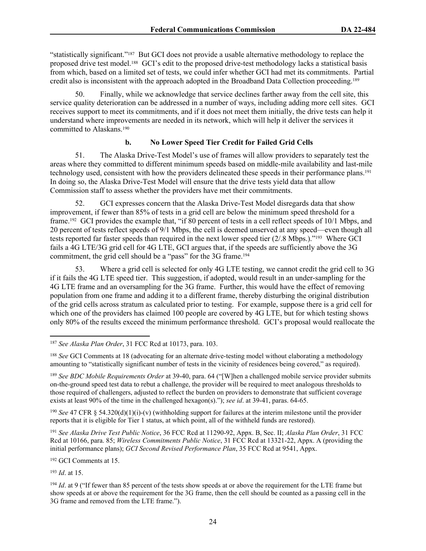"statistically significant."187 But GCI does not provide a usable alternative methodology to replace the proposed drive test model.188 GCI's edit to the proposed drive-test methodology lacks a statistical basis from which, based on a limited set of tests, we could infer whether GCI had met its commitments. Partial credit also is inconsistent with the approach adopted in the Broadband Data Collection proceeding.<sup>189</sup>

50. Finally, while we acknowledge that service declines farther away from the cell site, this service quality deterioration can be addressed in a number of ways, including adding more cell sites. GCI receives support to meet its commitments, and if it does not meet them initially, the drive tests can help it understand where improvements are needed in its network, which will help it deliver the services it committed to Alaskans.<sup>190</sup>

#### **b. No Lower Speed Tier Credit for Failed Grid Cells**

51. The Alaska Drive-Test Model's use of frames will allow providers to separately test the areas where they committed to different minimum speeds based on middle-mile availability and last-mile technology used, consistent with how the providers delineated these speeds in their performance plans.<sup>191</sup> In doing so, the Alaska Drive-Test Model will ensure that the drive tests yield data that allow Commission staff to assess whether the providers have met their commitments.

52. GCI expresses concern that the Alaska Drive-Test Model disregards data that show improvement, if fewer than 85% of tests in a grid cell are below the minimum speed threshold for a frame.192 GCI provides the example that, "if 80 percent of tests in a cell reflect speeds of 10/1 Mbps, and 20 percent of tests reflect speeds of 9/1 Mbps, the cell is deemed unserved at any speed—even though all tests reported far faster speeds than required in the next lower speed tier (2/.8 Mbps.)."193 Where GCI fails a 4G LTE/3G grid cell for 4G LTE, GCI argues that, if the speeds are sufficiently above the 3G commitment, the grid cell should be a "pass" for the 3G frame.<sup>194</sup>

53. Where a grid cell is selected for only 4G LTE testing, we cannot credit the grid cell to 3G if it fails the 4G LTE speed tier. This suggestion, if adopted, would result in an under-sampling for the 4G LTE frame and an oversampling for the 3G frame. Further, this would have the effect of removing population from one frame and adding it to a different frame, thereby disturbing the original distribution of the grid cells across stratum as calculated prior to testing. For example, suppose there is a grid cell for which one of the providers has claimed 100 people are covered by 4G LTE, but for which testing shows only 80% of the results exceed the minimum performance threshold. GCI's proposal would reallocate the

<sup>190</sup> *See* 47 CFR § 54.320(d)(1)(i)-(v) (withholding support for failures at the interim milestone until the provider reports that it is eligible for Tier 1 status, at which point, all of the withheld funds are restored).

<sup>191</sup> *See Alaska Drive Test Public Notice*, 36 FCC Rcd at 11290-92, Appx. B, Sec. II; *Alaska Plan Order*, 31 FCC Rcd at 10166, para. 85; *Wireless Commitments Public Notice*, 31 FCC Rcd at 13321-22, Appx. A (providing the initial performance plans); *GCI Second Revised Performance Plan*, 35 FCC Rcd at 9541, Appx.

<sup>192</sup> GCI Comments at 15.

<sup>193</sup> *Id*. at 15.

<sup>187</sup> *See Alaska Plan Order*, 31 FCC Rcd at 10173, para. 103.

<sup>&</sup>lt;sup>188</sup> *See* GCI Comments at 18 (advocating for an alternate drive-testing model without elaborating a methodology amounting to "statistically significant number of tests in the vicinity of residences being covered," as required).

<sup>&</sup>lt;sup>189</sup> See BDC Mobile Requirements Order at 39-40, para. 64 ("[W]hen a challenged mobile service provider submits on-the-ground speed test data to rebut a challenge, the provider will be required to meet analogous thresholds to those required of challengers, adjusted to reflect the burden on providers to demonstrate that sufficient coverage exists at least 90% of the time in the challenged hexagon(s)."); *see id*. at 39-41, paras. 64-65.

<sup>&</sup>lt;sup>194</sup> *Id*. at 9 ("If fewer than 85 percent of the tests show speeds at or above the requirement for the LTE frame but show speeds at or above the requirement for the 3G frame, then the cell should be counted as a passing cell in the 3G frame and removed from the LTE frame.").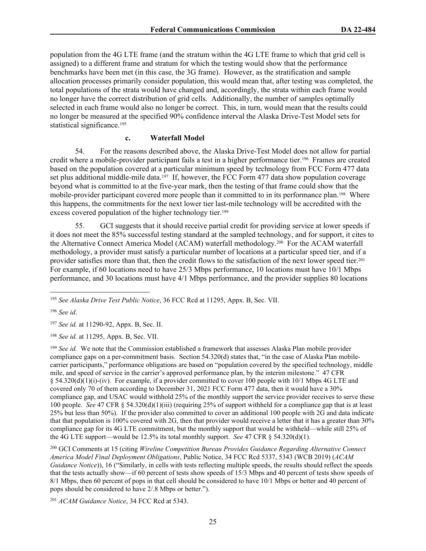population from the 4G LTE frame (and the stratum within the 4G LTE frame to which that grid cell is assigned) to a different frame and stratum for which the testing would show that the performance benchmarks have been met (in this case, the 3G frame). However, as the stratification and sample allocation processes primarily consider population, this would mean that, after testing was completed, the total populations of the strata would have changed and, accordingly, the strata within each frame would no longer have the correct distribution of grid cells. Additionally, the number of samples optimally selected in each frame would also no longer be correct. This, in turn, would mean that the results could no longer be measured at the specified 90% confidence interval the Alaska Drive-Test Model sets for statistical significance.<sup>195</sup>

#### **c. Waterfall Model**

54. For the reasons described above, the Alaska Drive-Test Model does not allow for partial credit where a mobile-provider participant fails a test in a higher performance tier.196 Frames are created based on the population covered at a particular minimum speed by technology from FCC Form 477 data set plus additional middle-mile data.<sup>197</sup> If, however, the FCC Form 477 data show population coverage beyond what is committed to at the five-year mark, then the testing of that frame could show that the mobile-provider participant covered more people than it committed to in its performance plan.198 Where this happens, the commitments for the next lower tier last-mile technology will be accredited with the excess covered population of the higher technology tier.<sup>199</sup>

55. GCI suggests that it should receive partial credit for providing service at lower speeds if it does not meet the 85% successful testing standard at the sampled technology, and for support, it cites to the Alternative Connect America Model (ACAM) waterfall methodology.200 For the ACAM waterfall methodology, a provider must satisfy a particular number of locations at a particular speed tier, and if a provider satisfies more than that, then the credit flows to the satisfaction of the next lower speed tier.<sup>201</sup> For example, if 60 locations need to have 25/3 Mbps performance, 10 locations must have 10/1 Mbps performance, and 30 locations must have 4/1 Mbps performance, and the provider supplies 80 locations

<sup>197</sup> *See id.* at 11290-92, Appx. B, Sec. II.

<sup>198</sup> *See id.* at 11295, Appx. B, Sec. VII.

<sup>199</sup> *See id.* We note that the Commission established a framework that assesses Alaska Plan mobile provider compliance gaps on a per-commitment basis. Section 54.320(d) states that, "in the case of Alaska Plan mobilecarrier participants," performance obligations are based on "population covered by the specified technology, middle mile, and speed of service in the carrier's approved performance plan, by the interim milestone." 47 CFR § 54.320(d)(1)(i)-(iv). For example, if a provider committed to cover 100 people with 10/1 Mbps 4G LTE and covered only 70 of them according to December 31, 2021 FCC Form 477 data, then it would have a 30% compliance gap, and USAC would withhold 25% of the monthly support the service provider receives to serve these 100 people. *See* 47 CFR § 54.320(d)(1)(iii) (requiring 25% of support withheld for a compliance gap that is at least 25% but less than 50%). If the provider also committed to cover an additional 100 people with 2G and data indicate that that population is 100% covered with 2G, then that provider would receive a letter that it has a greater than 30% compliance gap for its 4G LTE commitment, but the monthly support that would be withheld—while still 25% of the 4G LTE support—would be 12.5% its total monthly support. *See* 47 CFR § 54.320(d)(1).

<sup>200</sup> GCI Comments at 15 (citing *Wireline Competition Bureau Provides Guidance Regarding Alternative Connect America Model Final Deployment Obligations*, Public Notice, 34 FCC Rcd 5337, 5343 (WCB 2019) (*ACAM Guidance Notice*)), 16 ("Similarly, in cells with tests reflecting multiple speeds, the results should reflect the speeds that the tests actually show—if 60 percent of tests show speeds of 15/3 Mbps and 40 percent of tests show speeds of 8/1 Mbps, then 60 percent of pops in that cell should be considered to have 10/1 Mbps or better and 40 percent of pops should be considered to have 2/.8 Mbps or better.").

<sup>201</sup> *ACAM Guidance Notice*, 34 FCC Rcd at 5343.

<sup>195</sup> *See Alaska Drive Test Public Notice*, 36 FCC Rcd at 11295, Appx. B, Sec. VII.

<sup>196</sup> *See id*.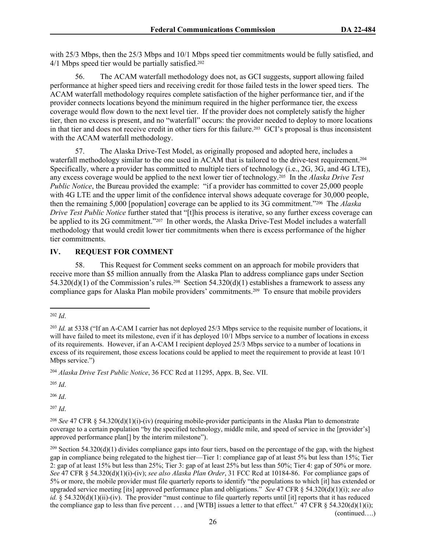with 25/3 Mbps, then the 25/3 Mbps and 10/1 Mbps speed tier commitments would be fully satisfied, and 4/1 Mbps speed tier would be partially satisfied.<sup>202</sup>

56. The ACAM waterfall methodology does not, as GCI suggests, support allowing failed performance at higher speed tiers and receiving credit for those failed tests in the lower speed tiers. The ACAM waterfall methodology requires complete satisfaction of the higher performance tier, and if the provider connects locations beyond the minimum required in the higher performance tier, the excess coverage would flow down to the next level tier. If the provider does not completely satisfy the higher tier, then no excess is present, and no "waterfall" occurs: the provider needed to deploy to more locations in that tier and does not receive credit in other tiers for this failure.<sup>203</sup> GCI's proposal is thus inconsistent with the ACAM waterfall methodology.

57. The Alaska Drive-Test Model, as originally proposed and adopted here, includes a waterfall methodology similar to the one used in ACAM that is tailored to the drive-test requirement.<sup>204</sup> Specifically, where a provider has committed to multiple tiers of technology (i.e., 2G, 3G, and 4G LTE), any excess coverage would be applied to the next lower tier of technology.205 In the *Alaska Drive Test Public Notice*, the Bureau provided the example: "if a provider has committed to cover 25,000 people with 4G LTE and the upper limit of the confidence interval shows adequate coverage for 30,000 people, then the remaining 5,000 [population] coverage can be applied to its 3G commitment."206 The *Alaska Drive Test Public Notice* further stated that "[t]his process is iterative, so any further excess coverage can be applied to its 2G commitment."<sup>207</sup> In other words, the Alaska Drive-Test Model includes a waterfall methodology that would credit lower tier commitments when there is excess performance of the higher tier commitments.

#### **IV. REQUEST FOR COMMENT**

58. This Request for Comment seeks comment on an approach for mobile providers that receive more than \$5 million annually from the Alaska Plan to address compliance gaps under Section 54.320(d)(1) of the Commission's rules.<sup>208</sup> Section 54.320(d)(1) establishes a framework to assess any compliance gaps for Alaska Plan mobile providers' commitments.209 To ensure that mobile providers

<sup>204</sup> *Alaska Drive Test Public Notice*, 36 FCC Rcd at 11295, Appx. B, Sec. VII.

<sup>205</sup> *Id*.

<sup>206</sup> *Id*.

<sup>207</sup> *Id*.

<sup>202</sup> *Id*.

<sup>203</sup> *Id.* at 5338 ("If an A-CAM I carrier has not deployed 25/3 Mbps service to the requisite number of locations, it will have failed to meet its milestone, even if it has deployed 10/1 Mbps service to a number of locations in excess of its requirements. However, if an A-CAM I recipient deployed 25/3 Mbps service to a number of locations in excess of its requirement, those excess locations could be applied to meet the requirement to provide at least 10/1 Mbps service.")

<sup>208</sup> *See* 47 CFR § 54.320(d)(1)(i)-(iv) (requiring mobile-provider participants in the Alaska Plan to demonstrate coverage to a certain population "by the specified technology, middle mile, and speed of service in the [provider's] approved performance plan[] by the interim milestone").

 $^{209}$  Section 54.320(d)(1) divides compliance gaps into four tiers, based on the percentage of the gap, with the highest gap in compliance being relegated to the highest tier—Tier 1: compliance gap of at least 5% but less than 15%; Tier 2: gap of at least 15% but less than 25%; Tier 3: gap of at least 25% but less than 50%; Tier 4: gap of 50% or more. *See* 47 CFR § 54.320(d)(1)(i)-(iv); *see also Alaska Plan Order*, 31 FCC Rcd at 10184-86. For compliance gaps of 5% or more, the mobile provider must file quarterly reports to identify "the populations to which [it] has extended or upgraded service meeting [its] approved performance plan and obligations." *See* 47 CFR § 54.320(d)(1)(i); *see also id.* § 54.320(d)(1)(ii)-(iv). The provider "must continue to file quarterly reports until [it] reports that it has reduced the compliance gap to less than five percent . . . and [WTB] issues a letter to that effect." 47 CFR  $\S$  54.320(d)(1)(i);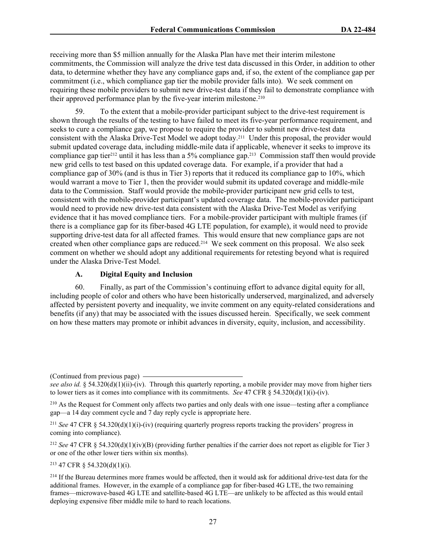receiving more than \$5 million annually for the Alaska Plan have met their interim milestone commitments, the Commission will analyze the drive test data discussed in this Order, in addition to other data, to determine whether they have any compliance gaps and, if so, the extent of the compliance gap per commitment (i.e., which compliance gap tier the mobile provider falls into). We seek comment on requiring these mobile providers to submit new drive-test data if they fail to demonstrate compliance with their approved performance plan by the five-year interim milestone.<sup>210</sup>

59. To the extent that a mobile-provider participant subject to the drive-test requirement is shown through the results of the testing to have failed to meet its five-year performance requirement, and seeks to cure a compliance gap, we propose to require the provider to submit new drive-test data consistent with the Alaska Drive-Test Model we adopt today.211 Under this proposal, the provider would submit updated coverage data, including middle-mile data if applicable, whenever it seeks to improve its compliance gap tier<sup>212</sup> until it has less than a 5% compliance gap.<sup>213</sup> Commission staff then would provide new grid cells to test based on this updated coverage data. For example, if a provider that had a compliance gap of 30% (and is thus in Tier 3) reports that it reduced its compliance gap to 10%, which would warrant a move to Tier 1, then the provider would submit its updated coverage and middle-mile data to the Commission. Staff would provide the mobile-provider participant new grid cells to test, consistent with the mobile-provider participant's updated coverage data. The mobile-provider participant would need to provide new drive-test data consistent with the Alaska Drive-Test Model as verifying evidence that it has moved compliance tiers. For a mobile-provider participant with multiple frames (if there is a compliance gap for its fiber-based 4G LTE population, for example), it would need to provide supporting drive-test data for all affected frames. This would ensure that new compliance gaps are not created when other compliance gaps are reduced.214 We seek comment on this proposal. We also seek comment on whether we should adopt any additional requirements for retesting beyond what is required under the Alaska Drive-Test Model.

#### **A. Digital Equity and Inclusion**

60. Finally, as part of the Commission's continuing effort to advance digital equity for all, including people of color and others who have been historically underserved, marginalized, and adversely affected by persistent poverty and inequality, we invite comment on any equity-related considerations and benefits (if any) that may be associated with the issues discussed herein. Specifically, we seek comment on how these matters may promote or inhibit advances in diversity, equity, inclusion, and accessibility.

(Continued from previous page)

<sup>211</sup> *See* 47 CFR § 54.320(d)(1)(i)-(iv) (requiring quarterly progress reports tracking the providers' progress in coming into compliance).

<sup>212</sup> *See* 47 CFR § 54.320(d)(1)(iv)(B) (providing further penalties if the carrier does not report as eligible for Tier 3 or one of the other lower tiers within six months).

<sup>213</sup> 47 CFR § 54.320(d)(1)(i).

<sup>214</sup> If the Bureau determines more frames would be affected, then it would ask for additional drive-test data for the additional frames. However, in the example of a compliance gap for fiber-based 4G LTE, the two remaining frames—microwave-based 4G LTE and satellite-based 4G LTE—are unlikely to be affected as this would entail deploying expensive fiber middle mile to hard to reach locations.

*see also id.* § 54.320(d)(1)(ii)-(iv). Through this quarterly reporting, a mobile provider may move from higher tiers to lower tiers as it comes into compliance with its commitments. *See* 47 CFR § 54.320(d)(1)(i)-(iv).

<sup>210</sup> As the Request for Comment only affects two parties and only deals with one issue—testing after a compliance gap—a 14 day comment cycle and 7 day reply cycle is appropriate here.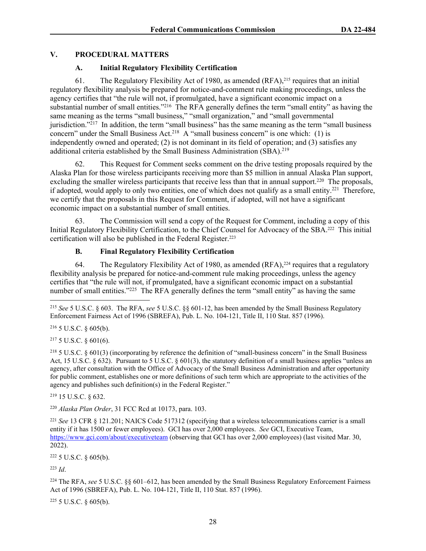#### **V. PROCEDURAL MATTERS**

#### **A. Initial Regulatory Flexibility Certification**

61. The Regulatory Flexibility Act of 1980, as amended (RFA),215 requires that an initial regulatory flexibility analysis be prepared for notice-and-comment rule making proceedings, unless the agency certifies that "the rule will not, if promulgated, have a significant economic impact on a substantial number of small entities."<sup>216</sup> The RFA generally defines the term "small entity" as having the same meaning as the terms "small business," "small organization," and "small governmental jurisdiction."<sup>217</sup> In addition, the term "small business" has the same meaning as the term "small business" concern" under the Small Business Act.<sup>218</sup> A "small business concern" is one which: (1) is independently owned and operated; (2) is not dominant in its field of operation; and (3) satisfies any additional criteria established by the Small Business Administration (SBA).<sup>219</sup>

62. This Request for Comment seeks comment on the drive testing proposals required by the Alaska Plan for those wireless participants receiving more than \$5 million in annual Alaska Plan support, excluding the smaller wireless participants that receive less than that in annual support.<sup>220</sup> The proposals, if adopted, would apply to only two entities, one of which does not qualify as a small entity.<sup>221</sup> Therefore, we certify that the proposals in this Request for Comment, if adopted, will not have a significant economic impact on a substantial number of small entities.

63. The Commission will send a copy of the Request for Comment, including a copy of this Initial Regulatory Flexibility Certification, to the Chief Counsel for Advocacy of the SBA.222 This initial certification will also be published in the Federal Register.<sup>223</sup>

#### **B. Final Regulatory Flexibility Certification**

64. The Regulatory Flexibility Act of 1980, as amended (RFA),<sup>224</sup> requires that a regulatory flexibility analysis be prepared for notice-and-comment rule making proceedings, unless the agency certifies that "the rule will not, if promulgated, have a significant economic impact on a substantial number of small entities."<sup>225</sup> The RFA generally defines the term "small entity" as having the same

 $216$  5 U.S.C. § 605(b).

<sup>217</sup> 5 U.S.C. § 601(6).

<sup>218</sup> 5 U.S.C. § 601(3) (incorporating by reference the definition of "small-business concern" in the Small Business Act, 15 U.S.C. § 632). Pursuant to 5 U.S.C. § 601(3), the statutory definition of a small business applies "unless an agency, after consultation with the Office of Advocacy of the Small Business Administration and after opportunity for public comment, establishes one or more definitions of such term which are appropriate to the activities of the agency and publishes such definition(s) in the Federal Register."

<sup>219</sup> 15 U.S.C. § 632.

<sup>220</sup> *Alaska Plan Order*, 31 FCC Rcd at 10173, para. 103.

<sup>221</sup> *See* 13 CFR § 121.201; NAICS Code 517312 (specifying that a wireless telecommunications carrier is a small entity if it has 1500 or fewer employees). GCI has over 2,000 employees. *See* GCI, Executive Team, <https://www.gci.com/about/executiveteam> (observing that GCI has over 2,000 employees) (last visited Mar. 30, 2022).

<sup>222</sup> 5 U.S.C. § 605(b).

<sup>223</sup> *Id*.

<sup>224</sup> The RFA, *see* 5 U.S.C. §§ 601–612, has been amended by the Small Business Regulatory Enforcement Fairness Act of 1996 (SBREFA), Pub. L. No. 104-121, Title II, 110 Stat. 857 (1996).

 $225$  5 U.S.C. § 605(b).

<sup>215</sup> *See* 5 U.S.C. § 603. The RFA, *see* 5 U.S.C. §§ 601-12, has been amended by the Small Business Regulatory Enforcement Fairness Act of 1996 (SBREFA), Pub. L. No. 104-121, Title II, 110 Stat. 857 (1996).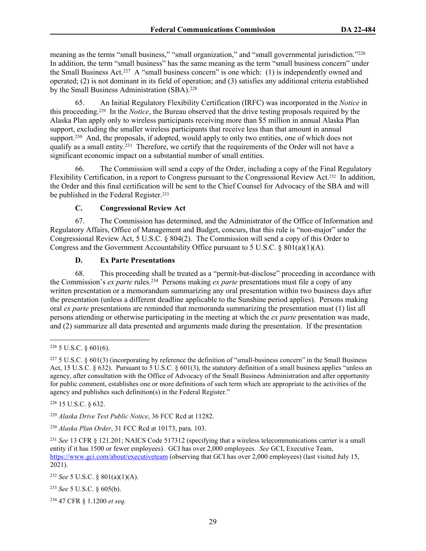meaning as the terms "small business," "small organization," and "small governmental jurisdiction."<sup>226</sup> In addition, the term "small business" has the same meaning as the term "small business concern" under the Small Business Act.<sup>227</sup> A "small business concern" is one which: (1) is independently owned and operated; (2) is not dominant in its field of operation; and (3) satisfies any additional criteria established by the Small Business Administration (SBA).<sup>228</sup>

65. An Initial Regulatory Flexibility Certification (IRFC) was incorporated in the *Notice* in this proceeding.229 In the *Notice*, the Bureau observed that the drive testing proposals required by the Alaska Plan apply only to wireless participants receiving more than \$5 million in annual Alaska Plan support, excluding the smaller wireless participants that receive less than that amount in annual support.<sup>230</sup> And, the proposals, if adopted, would apply to only two entities, one of which does not qualify as a small entity.<sup>231</sup> Therefore, we certify that the requirements of the Order will not have a significant economic impact on a substantial number of small entities.

66. The Commission will send a copy of the Order, including a copy of the Final Regulatory Flexibility Certification, in a report to Congress pursuant to the Congressional Review Act.232 In addition, the Order and this final certification will be sent to the Chief Counsel for Advocacy of the SBA and will be published in the Federal Register.<sup>233</sup>

#### **C. Congressional Review Act**

67. The Commission has determined, and the Administrator of the Office of Information and Regulatory Affairs, Office of Management and Budget, concurs, that this rule is "non-major" under the Congressional Review Act, 5 U.S.C. § 804(2). The Commission will send a copy of this Order to Congress and the Government Accountability Office pursuant to 5 U.S.C.  $\S 801(a)(1)(A)$ .

#### **D. Ex Parte Presentations**

68. This proceeding shall be treated as a "permit-but-disclose" proceeding in accordance with the Commission's *ex parte* rules.<sup>234</sup> Persons making *ex parte* presentations must file a copy of any written presentation or a memorandum summarizing any oral presentation within two business days after the presentation (unless a different deadline applicable to the Sunshine period applies). Persons making oral *ex parte* presentations are reminded that memoranda summarizing the presentation must (1) list all persons attending or otherwise participating in the meeting at which the *ex parte* presentation was made, and (2) summarize all data presented and arguments made during the presentation. If the presentation

<sup>228</sup> 15 U.S.C. § 632.

<sup>229</sup> *Alaska Drive Test Public Notice*, 36 FCC Rcd at 11282.

<sup>230</sup> *Alaska Plan Order*, 31 FCC Rcd at 10173, para. 103.

<sup>231</sup> *See* 13 CFR § 121.201; NAICS Code 517312 (specifying that a wireless telecommunications carrier is a small entity if it has 1500 or fewer employees). GCI has over 2,000 employees. *See* GCI, Executive Team, <https://www.gci.com/about/executiveteam> (observing that GCI has over 2,000 employees) (last visited July 15, 2021).

<sup>232</sup> *See* 5 U.S.C. § 801(a)(1)(A).

<sup>233</sup> *See* 5 U.S.C. § 605(b).

234 47 CFR § 1.1200 *et seq.*

 $226$  5 U.S.C. § 601(6).

 $227$  5 U.S.C. § 601(3) (incorporating by reference the definition of "small-business concern" in the Small Business Act, 15 U.S.C. § 632). Pursuant to 5 U.S.C. § 601(3), the statutory definition of a small business applies "unless an agency, after consultation with the Office of Advocacy of the Small Business Administration and after opportunity for public comment, establishes one or more definitions of such term which are appropriate to the activities of the agency and publishes such definition(s) in the Federal Register."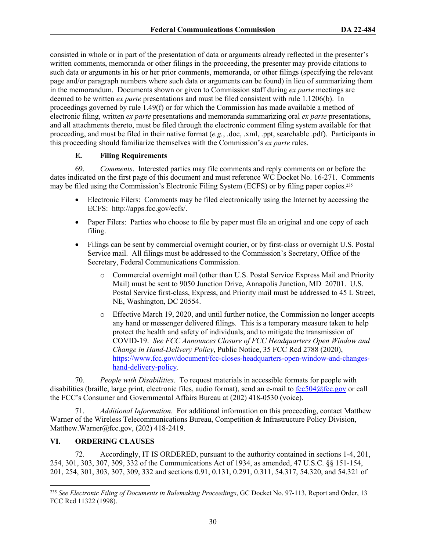consisted in whole or in part of the presentation of data or arguments already reflected in the presenter's written comments, memoranda or other filings in the proceeding, the presenter may provide citations to such data or arguments in his or her prior comments, memoranda, or other filings (specifying the relevant page and/or paragraph numbers where such data or arguments can be found) in lieu of summarizing them in the memorandum. Documents shown or given to Commission staff during *ex parte* meetings are deemed to be written *ex parte* presentations and must be filed consistent with rule 1.1206(b). In proceedings governed by rule 1.49(f) or for which the Commission has made available a method of electronic filing, written *ex parte* presentations and memoranda summarizing oral *ex parte* presentations, and all attachments thereto, must be filed through the electronic comment filing system available for that proceeding, and must be filed in their native format (*e.g.*, .doc, .xml, .ppt, searchable .pdf). Participants in this proceeding should familiarize themselves with the Commission's *ex parte* rules.

#### **E. Filing Requirements**

69. *Comments*. Interested parties may file comments and reply comments on or before the dates indicated on the first page of this document and must reference WC Docket No. 16-271. Comments may be filed using the Commission's Electronic Filing System (ECFS) or by filing paper copies.<sup>235</sup>

- Electronic Filers: Comments may be filed electronically using the Internet by accessing the ECFS: http://apps.fcc.gov/ecfs/.
- Paper Filers: Parties who choose to file by paper must file an original and one copy of each filing.
- Filings can be sent by commercial overnight courier, or by first-class or overnight U.S. Postal Service mail. All filings must be addressed to the Commission's Secretary, Office of the Secretary, Federal Communications Commission.
	- o Commercial overnight mail (other than U.S. Postal Service Express Mail and Priority Mail) must be sent to 9050 Junction Drive, Annapolis Junction, MD 20701. U.S. Postal Service first-class, Express, and Priority mail must be addressed to 45 L Street, NE, Washington, DC 20554.
	- o Effective March 19, 2020, and until further notice, the Commission no longer accepts any hand or messenger delivered filings. This is a temporary measure taken to help protect the health and safety of individuals, and to mitigate the transmission of COVID-19. *See FCC Announces Closure of FCC Headquarters Open Window and Change in Hand-Delivery Policy*, Public Notice, 35 FCC Rcd 2788 (2020), [https://www.fcc.gov/document/fcc-closes-headquarters-open-window-and-changes](https://www.fcc.gov/document/fcc-closes-headquarters-open-window-and-changes-hand-delivery-policy)[hand-delivery-policy](https://www.fcc.gov/document/fcc-closes-headquarters-open-window-and-changes-hand-delivery-policy).

70. *People with Disabilities*. To request materials in accessible formats for people with disabilities (braille, large print, electronic files, audio format), send an e-mail to [fcc504@fcc.gov](mailto:fcc504@fcc.gov) or call the FCC's Consumer and Governmental Affairs Bureau at (202) 418-0530 (voice).

71. *Additional Information*. For additional information on this proceeding, contact Matthew Warner of the Wireless Telecommunications Bureau, Competition & Infrastructure Policy Division, Matthew.Warner@fcc.gov, (202) 418-2419.

#### **VI. ORDERING CLAUSES**

72. Accordingly, IT IS ORDERED, pursuant to the authority contained in sections 1-4, 201, 254, 301, 303, 307, 309, 332 of the Communications Act of 1934, as amended, 47 U.S.C. §§ 151-154, 201, 254, 301, 303, 307, 309, 332 and sections 0.91, 0.131, 0.291, 0.311, 54.317, 54.320, and 54.321 of

<sup>235</sup> *See Electronic Filing of Documents in Rulemaking Proceedings*, GC Docket No. 97-113, Report and Order, 13 FCC Rcd 11322 (1998).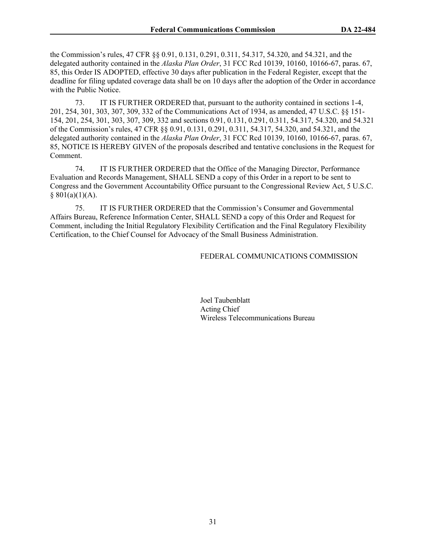the Commission's rules, 47 CFR §§ 0.91, 0.131, 0.291, 0.311, 54.317, 54.320, and 54.321, and the delegated authority contained in the *Alaska Plan Order*, 31 FCC Rcd 10139, 10160, 10166-67, paras. 67, 85, this Order IS ADOPTED, effective 30 days after publication in the Federal Register, except that the deadline for filing updated coverage data shall be on 10 days after the adoption of the Order in accordance with the Public Notice.

73. IT IS FURTHER ORDERED that, pursuant to the authority contained in sections 1-4, 201, 254, 301, 303, 307, 309, 332 of the Communications Act of 1934, as amended, 47 U.S.C. §§ 151- 154, 201, 254, 301, 303, 307, 309, 332 and sections 0.91, 0.131, 0.291, 0.311, 54.317, 54.320, and 54.321 of the Commission's rules, 47 CFR §§ 0.91, 0.131, 0.291, 0.311, 54.317, 54.320, and 54.321, and the delegated authority contained in the *Alaska Plan Order*, 31 FCC Rcd 10139, 10160, 10166-67, paras. 67, 85, NOTICE IS HEREBY GIVEN of the proposals described and tentative conclusions in the Request for Comment.

74. IT IS FURTHER ORDERED that the Office of the Managing Director, Performance Evaluation and Records Management, SHALL SEND a copy of this Order in a report to be sent to Congress and the Government Accountability Office pursuant to the Congressional Review Act, 5 U.S.C.  $§ 801(a)(1)(A).$ 

75. IT IS FURTHER ORDERED that the Commission's Consumer and Governmental Affairs Bureau, Reference Information Center, SHALL SEND a copy of this Order and Request for Comment, including the Initial Regulatory Flexibility Certification and the Final Regulatory Flexibility Certification, to the Chief Counsel for Advocacy of the Small Business Administration.

#### FEDERAL COMMUNICATIONS COMMISSION

Joel Taubenblatt Acting Chief Wireless Telecommunications Bureau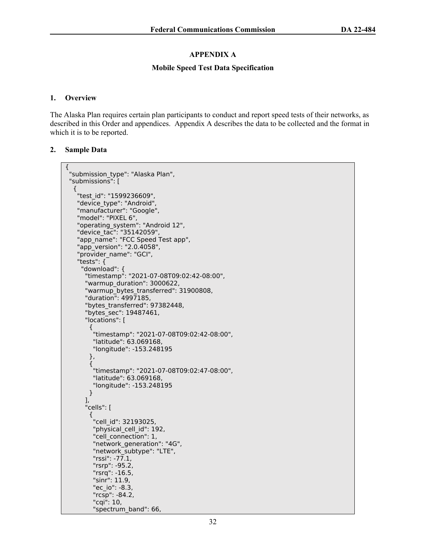#### **APPENDIX A**

#### **Mobile Speed Test Data Specification**

#### **1. Overview**

The Alaska Plan requires certain plan participants to conduct and report speed tests of their networks, as described in this Order and appendices. Appendix A describes the data to be collected and the format in which it is to be reported.

#### **2. Sample Data**

```
{
 "submission type": "Alaska Plan",
  "submissions": [
   {
    "test_id": "1599236609",
    "device_type": "Android",
    "manufacturer": "Google",
    "model": "PIXEL 6",
    "operating_system": "Android 12",
    "device_tac": "35142059",
    "app_name": "FCC Speed Test app",
    "app_version": "2.0.4058",
    "provider_name": "GCI",
    "tests": {
      "download": {
       "timestamp": "2021-07-08T09:02:42-08:00",
       "warmup_duration": 3000622,
       "warmup_bytes_transferred": 31900808,
       "duration": 4997185,
       "bytes_transferred": 97382448,
       "bytes_sec": 19487461,
       "locations": [
        {
          "timestamp": "2021-07-08T09:02:42-08:00",
          "latitude": 63.069168,
          "longitude": -153.248195
        },
        {
          "timestamp": "2021-07-08T09:02:47-08:00",
         "latitude": 63.069168,
          "longitude": -153.248195
        }
       ],
       "cells": [
\overline{\mathcal{L}} "cell_id": 32193025,
         "physical cell id": 192,
         "cell_connection": 1,
         "network_generation": "4G",
          "network_subtype": "LTE",
          "rssi": -77.1,
          "rsrp": -95.2,
          "rsrq": -16.5,
         "sinr": 11.9,
          "ec_io": -8.3,
          "rcsp": -84.2,
          "cqi": 10,
         "spectrum_band": 66,
```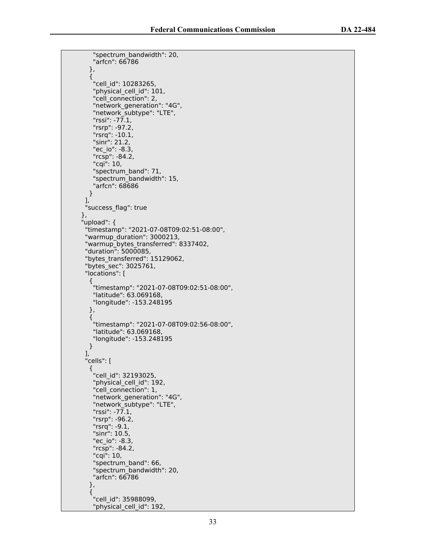```
 "spectrum_bandwidth": 20,
          "arfcn": 66786
        },
       \mathbf{f} "cell_id": 10283265,
          "physical_cell_id": 101,
          "cell_connection": 2,
          "network_generation": "4G",
          "network_subtype": "LTE",
         "rssi": -77.1,
          "rsrp": -97.2,
          "rsrq": -10.1,
          "sinr": 21.2,
          "ec_io": -8.3,
          "rcsp": -84.2,
          "cqi": 10,
          "spectrum_band": 71,
          "spectrum_bandwidth": 15,
          "arfcn": 68686
        }
\qquad \qquad ],
 "success_flag": true
     },
      "upload": {
       "timestamp": "2021-07-08T09:02:51-08:00",
       "warmup_duration": 3000213,
      "warmup_bytes_transferred": 8337402,
       "duration": 5000085,
      "bytes_transferred": 15129062,
       "bytes_sec": 3025761,
       "locations": [
        {
          "timestamp": "2021-07-08T09:02:51-08:00",
          "latitude": 63.069168,
          "longitude": -153.248195
        },
        {
          "timestamp": "2021-07-08T09:02:56-08:00",
          "latitude": 63.069168,
          "longitude": -153.248195
        }
       ],
       "cells": [
       \mathcal{L} "cell_id": 32193025,
         "physical_cell_id": 192,
          "cell_connection": 1,
          "network_generation": "4G",
          "network_subtype": "LTE",
          "rssi": -77.1,
          "rsrp": -96.2,
          "rsrq": -9.1,
          "sinr": 10.5,
          "ec_io": -8.3,
 "rcsp": -84.2,
 "cqi": 10,
          "spectrum_band": 66,
          "spectrum_bandwidth": 20,
          "arfcn": 66786
        },
        {
          "cell_id": 35988099,
         "physical cell id": 192,
```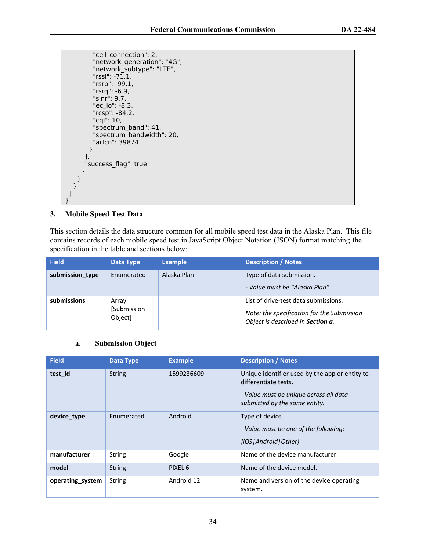```
 "cell_connection": 2,
          "network_generation": "4G",
          "network_subtype": "LTE",
         "rssi": -71,1, "rsrp": -99.1,
          "rsrq": -6.9,
          "sinr": 9.7,
           "ec_io": -8.3,
           "rcsp": -84.2,
          "cqi": 10,
          "spectrum_band": 41,
          "spectrum_bandwidth": 20,
          "arfcn": 39874
         }
\qquad \qquad ],
        "success_flag": true
      }
    }
   }
 ]
}
```
#### **3. Mobile Speed Test Data**

This section details the data structure common for all mobile speed test data in the Alaska Plan. This file contains records of each mobile speed test in JavaScript Object Notation (JSON) format matching the specification in the table and sections below:

| <b>Field</b>    | Data Type                       | <b>Example</b> | <b>Description / Notes</b>                                                                                              |
|-----------------|---------------------------------|----------------|-------------------------------------------------------------------------------------------------------------------------|
| submission_type | Enumerated                      | Alaska Plan    | Type of data submission.<br>- Value must be "Alaska Plan".                                                              |
| submissions     | Array<br>[Submission<br>Object] |                | List of drive-test data submissions.<br>Note: the specification for the Submission<br>Object is described in Section a. |

#### <span id="page-33-0"></span>**a. Submission Object**

| <b>Field</b>     | Data Type     | <b>Example</b> | <b>Description / Notes</b>                                                                                                                        |
|------------------|---------------|----------------|---------------------------------------------------------------------------------------------------------------------------------------------------|
| test id          | <b>String</b> | 1599236609     | Unique identifier used by the app or entity to<br>differentiate tests.<br>- Value must be unique across all data<br>submitted by the same entity. |
| device_type      | Enumerated    | Android        | Type of device.<br>- Value must be one of the following:<br>{iOS   Android   Other}                                                               |
| manufacturer     | <b>String</b> | Google         | Name of the device manufacturer.                                                                                                                  |
| model            | <b>String</b> | PIXEL 6        | Name of the device model.                                                                                                                         |
| operating_system | <b>String</b> | Android 12     | Name and version of the device operating<br>system.                                                                                               |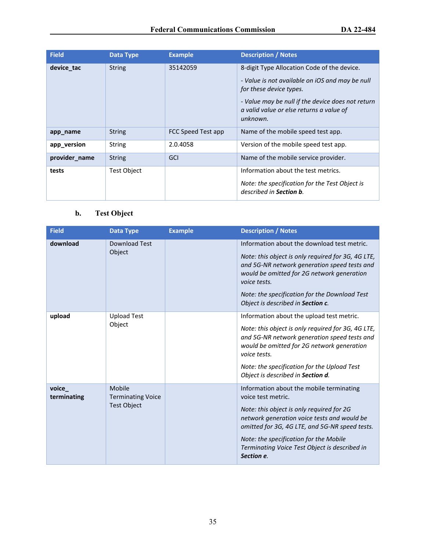| <b>Field</b>  | <b>Data Type</b> | <b>Example</b>     | <b>Description / Notes</b>                                                                                |
|---------------|------------------|--------------------|-----------------------------------------------------------------------------------------------------------|
| device tac    | <b>String</b>    | 35142059           | 8-digit Type Allocation Code of the device.                                                               |
|               |                  |                    | - Value is not available on iOS and may be null<br>for these device types.                                |
|               |                  |                    | - Value may be null if the device does not return<br>a valid value or else returns a value of<br>unknown. |
| app_name      | <b>String</b>    | FCC Speed Test app | Name of the mobile speed test app.                                                                        |
| app_version   | <b>String</b>    | 2.0.4058           | Version of the mobile speed test app.                                                                     |
| provider_name | <b>String</b>    | GCI                | Name of the mobile service provider.                                                                      |
| tests         | Test Object      |                    | Information about the test metrics.                                                                       |
|               |                  |                    | Note: the specification for the Test Object is<br>described in Section b.                                 |

## <span id="page-34-0"></span>**b. Test Object**

| <b>Field</b>          | <b>Data Type</b>                                         | <b>Example</b> | <b>Description / Notes</b>                                                                                                                                                                                                                                                                                                             |
|-----------------------|----------------------------------------------------------|----------------|----------------------------------------------------------------------------------------------------------------------------------------------------------------------------------------------------------------------------------------------------------------------------------------------------------------------------------------|
| download              | Download Test<br>Object                                  |                | Information about the download test metric.<br>Note: this object is only required for 3G, 4G LTE,<br>and 5G-NR network generation speed tests and<br>would be omitted for 2G network generation<br>voice tests.<br>Note: the specification for the Download Test                                                                       |
| upload                | <b>Upload Test</b><br>Object                             |                | Object is described in Section c.<br>Information about the upload test metric.<br>Note: this object is only required for 3G, 4G LTE,<br>and 5G-NR network generation speed tests and<br>would be omitted for 2G network generation<br>voice tests.<br>Note: the specification for the Upload Test<br>Object is described in Section d. |
| voice_<br>terminating | Mobile<br><b>Terminating Voice</b><br><b>Test Object</b> |                | Information about the mobile terminating<br>voice test metric.<br>Note: this object is only required for 2G<br>network generation voice tests and would be<br>omitted for 3G, 4G LTE, and 5G-NR speed tests.<br>Note: the specification for the Mobile<br>Terminating Voice Test Object is described in<br>Section e.                  |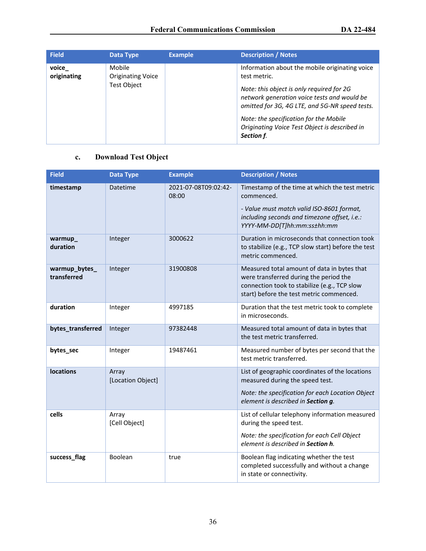| <b>Field</b>         | Data Type                                         | <b>Example</b> | <b>Description / Notes</b>                                                                                                                                                                                                                                                                                            |
|----------------------|---------------------------------------------------|----------------|-----------------------------------------------------------------------------------------------------------------------------------------------------------------------------------------------------------------------------------------------------------------------------------------------------------------------|
| voice<br>originating | Mobile<br><b>Originating Voice</b><br>Fest Object |                | Information about the mobile originating voice<br>test metric.<br>Note: this object is only required for 2G<br>network generation voice tests and would be<br>omitted for 3G, 4G LTE, and 5G-NR speed tests.<br>Note: the specification for the Mobile<br>Originating Voice Test Object is described in<br>Section f. |

### <span id="page-35-0"></span>**c. Download Test Object**

| <b>Field</b>                 | <b>Data Type</b>           | <b>Example</b>                | <b>Description / Notes</b>                                                                                                                                                               |
|------------------------------|----------------------------|-------------------------------|------------------------------------------------------------------------------------------------------------------------------------------------------------------------------------------|
| timestamp                    | <b>Datetime</b>            | 2021-07-08T09:02:42-<br>08:00 | Timestamp of the time at which the test metric<br>commenced.<br>- Value must match valid ISO-8601 format,<br>including seconds and timezone offset, i.e.:<br>YYYY-MM-DD[T]hh:mm:ss±hh:mm |
| warmup<br>duration           | Integer                    | 3000622                       | Duration in microseconds that connection took<br>to stabilize (e.g., TCP slow start) before the test<br>metric commenced.                                                                |
| warmup_bytes_<br>transferred | Integer                    | 31900808                      | Measured total amount of data in bytes that<br>were transferred during the period the<br>connection took to stabilize (e.g., TCP slow<br>start) before the test metric commenced.        |
| duration                     | Integer                    | 4997185                       | Duration that the test metric took to complete<br>in microseconds.                                                                                                                       |
| bytes_transferred            | Integer                    | 97382448                      | Measured total amount of data in bytes that<br>the test metric transferred.                                                                                                              |
| bytes_sec                    | Integer                    | 19487461                      | Measured number of bytes per second that the<br>test metric transferred.                                                                                                                 |
| <b>locations</b>             | Array<br>[Location Object] |                               | List of geographic coordinates of the locations<br>measured during the speed test.<br>Note: the specification for each Location Object<br>element is described in Section g.             |
| cells                        | Array<br>[Cell Object]     |                               | List of cellular telephony information measured<br>during the speed test.<br>Note: the specification for each Cell Object<br>element is described in Section h.                          |
| success_flag                 | Boolean                    | true                          | Boolean flag indicating whether the test<br>completed successfully and without a change<br>in state or connectivity.                                                                     |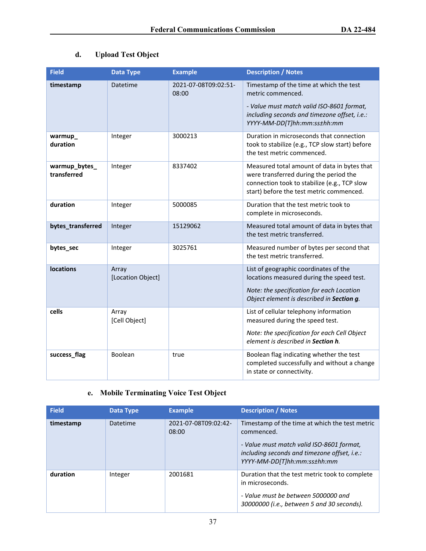## <span id="page-36-0"></span>**d. Upload Test Object**

| <b>Field</b>                 | <b>Data Type</b>           | <b>Example</b>                | <b>Description / Notes</b>                                                                                                                                                               |
|------------------------------|----------------------------|-------------------------------|------------------------------------------------------------------------------------------------------------------------------------------------------------------------------------------|
| timestamp                    | Datetime                   | 2021-07-08T09:02:51-<br>08:00 | Timestamp of the time at which the test<br>metric commenced.<br>- Value must match valid ISO-8601 format,<br>including seconds and timezone offset, i.e.:<br>YYYY-MM-DD[T]hh:mm:ss±hh:mm |
| warmup_<br>duration          | Integer                    | 3000213                       | Duration in microseconds that connection<br>took to stabilize (e.g., TCP slow start) before<br>the test metric commenced.                                                                |
| warmup_bytes_<br>transferred | Integer                    | 8337402                       | Measured total amount of data in bytes that<br>were transferred during the period the<br>connection took to stabilize (e.g., TCP slow<br>start) before the test metric commenced.        |
| duration                     | Integer                    | 5000085                       | Duration that the test metric took to<br>complete in microseconds.                                                                                                                       |
| bytes_transferred            | Integer                    | 15129062                      | Measured total amount of data in bytes that<br>the test metric transferred.                                                                                                              |
| bytes_sec                    | Integer                    | 3025761                       | Measured number of bytes per second that<br>the test metric transferred.                                                                                                                 |
| <b>locations</b>             | Array<br>[Location Object] |                               | List of geographic coordinates of the<br>locations measured during the speed test.<br>Note: the specification for each Location<br>Object element is described in Section g.             |
| cells                        | Array<br>[Cell Object]     |                               | List of cellular telephony information<br>measured during the speed test.<br>Note: the specification for each Cell Object<br>element is described in Section h.                          |
| success_flag                 | Boolean                    | true                          | Boolean flag indicating whether the test<br>completed successfully and without a change<br>in state or connectivity.                                                                     |

### <span id="page-36-1"></span>**e. Mobile Terminating Voice Test Object**

| <b>Field</b> | Data Type | <b>Example</b>                | <b>Description / Notes</b>                                                                                               |
|--------------|-----------|-------------------------------|--------------------------------------------------------------------------------------------------------------------------|
| timestamp    | Datetime  | 2021-07-08T09:02:42-<br>08:00 | Timestamp of the time at which the test metric<br>commenced.                                                             |
|              |           |                               | - Value must match valid ISO-8601 format,<br>including seconds and timezone offset, i.e.:<br>YYYY-MM-DD[T]hh:mm:ss±hh:mm |
| duration     | Integer   | 2001681                       | Duration that the test metric took to complete<br>in microseconds.                                                       |
|              |           |                               | - Value must be between 5000000 and<br>30000000 (i.e., between 5 and 30 seconds).                                        |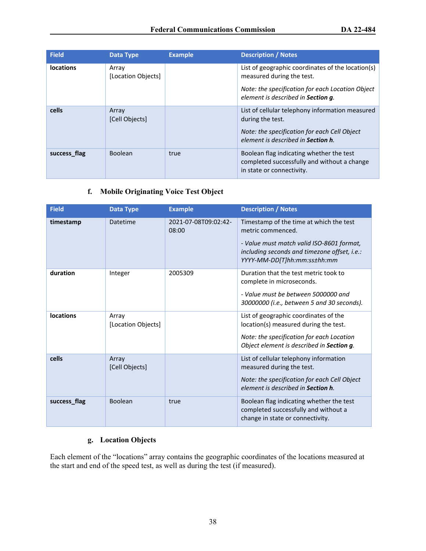| <b>Field</b>     | Data Type                   | <b>Example</b> | <b>Description / Notes</b>                                                                                                                                               |
|------------------|-----------------------------|----------------|--------------------------------------------------------------------------------------------------------------------------------------------------------------------------|
| <b>locations</b> | Array<br>[Location Objects] |                | List of geographic coordinates of the location(s)<br>measured during the test.<br>Note: the specification for each Location Object<br>element is described in Section q. |
| cells            | Array<br>[Cell Objects]     |                | List of cellular telephony information measured<br>during the test.<br>Note: the specification for each Cell Object<br>element is described in <b>Section h</b> .        |
| success_flag     | <b>Boolean</b>              | true           | Boolean flag indicating whether the test<br>completed successfully and without a change<br>in state or connectivity.                                                     |

### <span id="page-37-0"></span>**f. Mobile Originating Voice Test Object**

| <b>Field</b>     | <b>Data Type</b>            | <b>Example</b>                | <b>Description / Notes</b>                                                                                                                                                               |
|------------------|-----------------------------|-------------------------------|------------------------------------------------------------------------------------------------------------------------------------------------------------------------------------------|
| timestamp        | Datetime                    | 2021-07-08T09:02:42-<br>08:00 | Timestamp of the time at which the test<br>metric commenced.<br>- Value must match valid ISO-8601 format,<br>including seconds and timezone offset, i.e.:<br>YYYY-MM-DD[T]hh:mm:ss±hh:mm |
| duration         | Integer                     | 2005309                       | Duration that the test metric took to<br>complete in microseconds.<br>- Value must be between 5000000 and<br>30000000 (i.e., between 5 and 30 seconds).                                  |
| <b>locations</b> | Array<br>[Location Objects] |                               | List of geographic coordinates of the<br>location(s) measured during the test.<br>Note: the specification for each Location<br>Object element is described in Section g.                 |
| cells            | Array<br>[Cell Objects]     |                               | List of cellular telephony information<br>measured during the test.<br>Note: the specification for each Cell Object<br>element is described in <b>Section h</b> .                        |
| success_flag     | Boolean                     | true                          | Boolean flag indicating whether the test<br>completed successfully and without a<br>change in state or connectivity.                                                                     |

### <span id="page-37-1"></span>**g. Location Objects**

Each element of the "locations" array contains the geographic coordinates of the locations measured at the start and end of the speed test, as well as during the test (if measured).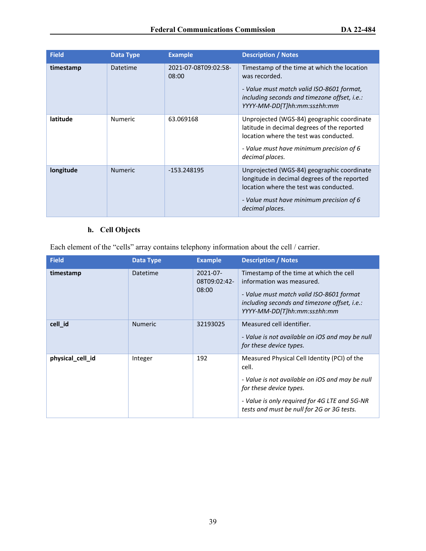| <b>Field</b> | Data Type      | <b>Example</b>                | <b>Description / Notes</b>                                                                                                                                                                          |
|--------------|----------------|-------------------------------|-----------------------------------------------------------------------------------------------------------------------------------------------------------------------------------------------------|
| timestamp    | Datetime       | 2021-07-08T09:02:58-<br>08:00 | Timestamp of the time at which the location<br>was recorded.<br>- Value must match valid ISO-8601 format,<br>including seconds and timezone offset, i.e.:<br>YYYY-MM-DD[T]hh:mm:ss±hh:mm            |
| latitude     | <b>Numeric</b> | 63.069168                     | Unprojected (WGS-84) geographic coordinate<br>latitude in decimal degrees of the reported<br>location where the test was conducted.<br>- Value must have minimum precision of 6<br>decimal places.  |
| longitude    | <b>Numeric</b> | -153.248195                   | Unprojected (WGS-84) geographic coordinate<br>longitude in decimal degrees of the reported<br>location where the test was conducted.<br>- Value must have minimum precision of 6<br>decimal places. |

### <span id="page-38-0"></span>**h. Cell Objects**

Each element of the "cells" array contains telephony information about the cell / carrier.

| <b>Field</b>     | Data Type      | <b>Example</b>                         | <b>Description / Notes</b>                                                                                                                                                                                                         |
|------------------|----------------|----------------------------------------|------------------------------------------------------------------------------------------------------------------------------------------------------------------------------------------------------------------------------------|
| timestamp        | Datetime       | $2021 - 07 -$<br>08T09:02:42-<br>08:00 | Timestamp of the time at which the cell<br>information was measured.<br>- Value must match valid ISO-8601 format<br>including seconds and timezone offset, i.e.:<br>YYYY-MM-DD[T]hh:mm:ss±hh:mm                                    |
| cell id          | <b>Numeric</b> | 32193025                               | Measured cell identifier.<br>- Value is not available on iOS and may be null<br>for these device types.                                                                                                                            |
| physical_cell_id | Integer        | 192                                    | Measured Physical Cell Identity (PCI) of the<br>cell.<br>- Value is not available on iOS and may be null<br>for these device types.<br>- Value is only required for 4G LTE and 5G-NR<br>tests and must be null for 2G or 3G tests. |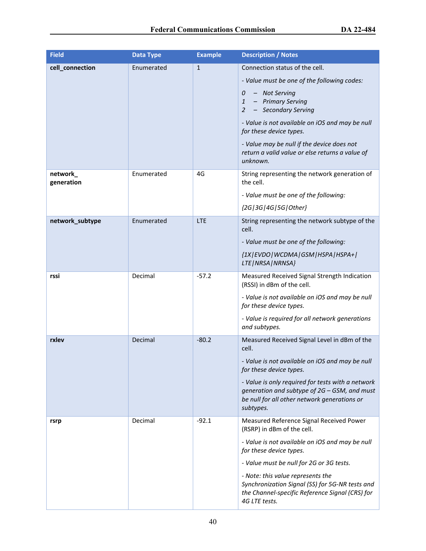| <b>Field</b>           | Data Type  | <b>Example</b> | <b>Description / Notes</b>                                                                                                                                     |
|------------------------|------------|----------------|----------------------------------------------------------------------------------------------------------------------------------------------------------------|
| cell_connection        | Enumerated | $\mathbf{1}$   | Connection status of the cell.                                                                                                                                 |
|                        |            |                | - Value must be one of the following codes:                                                                                                                    |
|                        |            |                | - Not Serving<br>0<br>- Primary Serving<br>$\mathbf{1}$<br>- Secondary Serving<br>$\overline{2}$                                                               |
|                        |            |                | - Value is not available on iOS and may be null<br>for these device types.                                                                                     |
|                        |            |                | - Value may be null if the device does not<br>return a valid value or else returns a value of<br>unknown.                                                      |
| network_<br>generation | Enumerated | 4G             | String representing the network generation of<br>the cell.                                                                                                     |
|                        |            |                | - Value must be one of the following:                                                                                                                          |
|                        |            |                | {2G 3G 4G 5G Other}                                                                                                                                            |
| network_subtype        | Enumerated | <b>LTE</b>     | String representing the network subtype of the<br>cell.                                                                                                        |
|                        |            |                | - Value must be one of the following:                                                                                                                          |
|                        |            |                | {1X   EVDO   WCDMA   GSM   HSPA   HSPA+  <br>LTE   NRSA   NRNSA}                                                                                               |
| rssi                   | Decimal    | $-57.2$        | Measured Received Signal Strength Indication<br>(RSSI) in dBm of the cell.                                                                                     |
|                        |            |                | - Value is not available on iOS and may be null<br>for these device types.                                                                                     |
|                        |            |                | - Value is required for all network generations<br>and subtypes.                                                                                               |
| rxlev                  | Decimal    | $-80.2$        | Measured Received Signal Level in dBm of the<br>cell.                                                                                                          |
|                        |            |                | - Value is not available on iOS and may be null<br>for these device types.                                                                                     |
|                        |            |                | - Value is only required for tests with a network<br>generation and subtype of 2G - GSM, and must<br>be null for all other network generations or<br>subtypes. |
| rsrp                   | Decimal    | $-92.1$        | Measured Reference Signal Received Power<br>(RSRP) in dBm of the cell.                                                                                         |
|                        |            |                | - Value is not available on iOS and may be null<br>for these device types.                                                                                     |
|                        |            |                | - Value must be null for 2G or 3G tests.                                                                                                                       |
|                        |            |                | - Note: this value represents the<br>Synchronization Signal (SS) for 5G-NR tests and<br>the Channel-specific Reference Signal (CRS) for<br>4G LTE tests.       |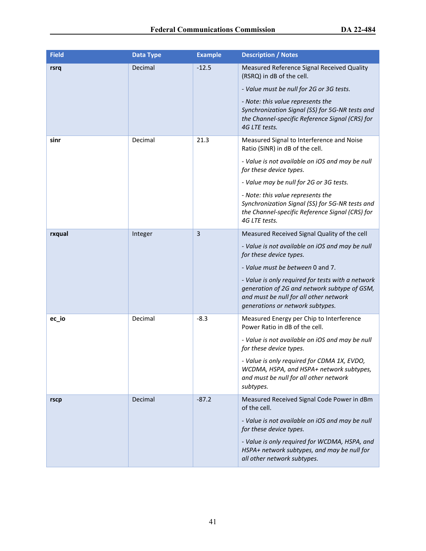| <b>Field</b> | <b>Data Type</b> | <b>Example</b> | <b>Description / Notes</b>                                                                                                                                                      |
|--------------|------------------|----------------|---------------------------------------------------------------------------------------------------------------------------------------------------------------------------------|
| rsrq         | Decimal          | $-12.5$        | Measured Reference Signal Received Quality<br>(RSRQ) in dB of the cell.                                                                                                         |
|              |                  |                | - Value must be null for 2G or 3G tests.                                                                                                                                        |
|              |                  |                | - Note: this value represents the<br>Synchronization Signal (SS) for 5G-NR tests and<br>the Channel-specific Reference Signal (CRS) for<br>4G LTE tests.                        |
| sinr         | Decimal          | 21.3           | Measured Signal to Interference and Noise<br>Ratio (SINR) in dB of the cell.                                                                                                    |
|              |                  |                | - Value is not available on iOS and may be null<br>for these device types.                                                                                                      |
|              |                  |                | - Value may be null for 2G or 3G tests.                                                                                                                                         |
|              |                  |                | - Note: this value represents the<br>Synchronization Signal (SS) for 5G-NR tests and<br>the Channel-specific Reference Signal (CRS) for<br>4G LTE tests.                        |
| rxqual       | Integer          | 3              | Measured Received Signal Quality of the cell                                                                                                                                    |
|              |                  |                | - Value is not available on iOS and may be null<br>for these device types.                                                                                                      |
|              |                  |                | - Value must be between 0 and 7.                                                                                                                                                |
|              |                  |                | - Value is only required for tests with a network<br>generation of 2G and network subtype of GSM,<br>and must be null for all other network<br>generations or network subtypes. |
| ec_io        | Decimal          | $-8.3$         | Measured Energy per Chip to Interference<br>Power Ratio in dB of the cell.                                                                                                      |
|              |                  |                | - Value is not available on iOS and may be null<br>for these device types.                                                                                                      |
|              |                  |                | - Value is only required for CDMA 1X, EVDO,<br>WCDMA, HSPA, and HSPA+ network subtypes,<br>and must be null for all other network<br>subtypes.                                  |
| rscp         | Decimal          | $-87.2$        | Measured Received Signal Code Power in dBm<br>of the cell.                                                                                                                      |
|              |                  |                | - Value is not available on iOS and may be null<br>for these device types.                                                                                                      |
|              |                  |                | - Value is only required for WCDMA, HSPA, and<br>HSPA+ network subtypes, and may be null for<br>all other network subtypes.                                                     |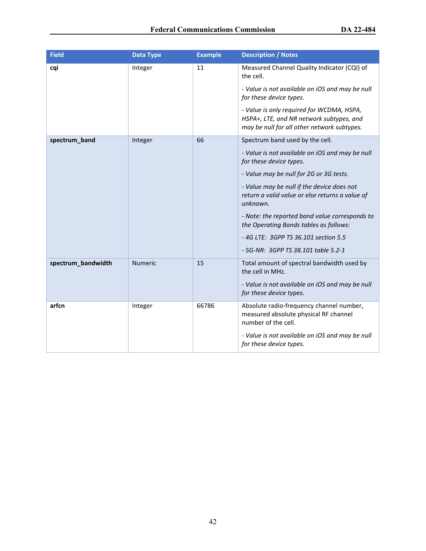| <b>Field</b>       | <b>Data Type</b> | <b>Example</b> | <b>Description / Notes</b>                                                                                                           |
|--------------------|------------------|----------------|--------------------------------------------------------------------------------------------------------------------------------------|
| cqi                | Integer          | 11             | Measured Channel Quality Indicator (CQI) of<br>the cell.                                                                             |
|                    |                  |                | - Value is not available on iOS and may be null<br>for these device types.                                                           |
|                    |                  |                | - Value is only required for WCDMA, HSPA,<br>HSPA+, LTE, and NR network subtypes, and<br>may be null for all other network subtypes. |
| spectrum_band      | Integer          | 66             | Spectrum band used by the cell.                                                                                                      |
|                    |                  |                | - Value is not available on iOS and may be null<br>for these device types.                                                           |
|                    |                  |                | - Value may be null for 2G or 3G tests.                                                                                              |
|                    |                  |                | - Value may be null if the device does not<br>return a valid value or else returns a value of<br>unknown.                            |
|                    |                  |                | - Note: the reported band value corresponds to<br>the Operating Bands tables as follows:                                             |
|                    |                  |                | -4G LTE: 3GPP TS 36.101 section 5.5                                                                                                  |
|                    |                  |                | - 5G-NR: 3GPP TS 38.101 table 5.2-1                                                                                                  |
| spectrum_bandwidth | <b>Numeric</b>   | 15             | Total amount of spectral bandwidth used by<br>the cell in MHz.                                                                       |
|                    |                  |                | - Value is not available on iOS and may be null<br>for these device types.                                                           |
| arfcn              | Integer          | 66786          | Absolute radio-frequency channel number,<br>measured absolute physical RF channel<br>number of the cell.                             |
|                    |                  |                | - Value is not available on iOS and may be null<br>for these device types.                                                           |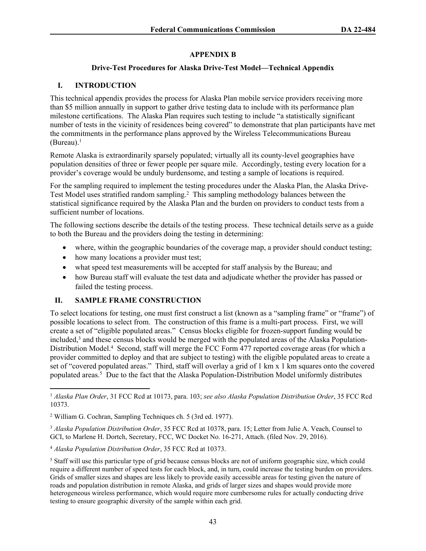#### **APPENDIX B**

#### **Drive-Test Procedures for Alaska Drive-Test Model—Technical Appendix**

#### **I. INTRODUCTION**

This technical appendix provides the process for Alaska Plan mobile service providers receiving more than \$5 million annually in support to gather drive testing data to include with its performance plan milestone certifications. The Alaska Plan requires such testing to include "a statistically significant number of tests in the vicinity of residences being covered" to demonstrate that plan participants have met the commitments in the performance plans approved by the Wireless Telecommunications Bureau (Bureau). $<sup>1</sup>$ </sup>

Remote Alaska is extraordinarily sparsely populated; virtually all its county-level geographies have population densities of three or fewer people per square mile. Accordingly, testing every location for a provider's coverage would be unduly burdensome, and testing a sample of locations is required.

For the sampling required to implement the testing procedures under the Alaska Plan, the Alaska Drive-Test Model uses stratified random sampling.<sup>2</sup> This sampling methodology balances between the statistical significance required by the Alaska Plan and the burden on providers to conduct tests from a sufficient number of locations.

The following sections describe the details of the testing process. These technical details serve as a guide to both the Bureau and the providers doing the testing in determining:

- where, within the geographic boundaries of the coverage map, a provider should conduct testing;
- how many locations a provider must test;
- what speed test measurements will be accepted for staff analysis by the Bureau; and
- how Bureau staff will evaluate the test data and adjudicate whether the provider has passed or failed the testing process.

#### **II. SAMPLE FRAME CONSTRUCTION**

To select locations for testing, one must first construct a list (known as a "sampling frame" or "frame") of possible locations to select from. The construction of this frame is a multi-part process. First, we will create a set of "eligible populated areas." Census blocks eligible for frozen-support funding would be included,<sup>3</sup> and these census blocks would be merged with the populated areas of the Alaska Population-Distribution Model.<sup>4</sup> Second, staff will merge the FCC Form 477 reported coverage areas (for which a provider committed to deploy and that are subject to testing) with the eligible populated areas to create a set of "covered populated areas." Third, staff will overlay a grid of 1 km x 1 km squares onto the covered populated areas.<sup>5</sup> Due to the fact that the Alaska Population-Distribution Model uniformly distributes

<sup>1</sup> *Alaska Plan Order*, 31 FCC Rcd at 10173, para. 103; *see also Alaska Population Distribution Order*, 35 FCC Rcd 10373.

<sup>2</sup> William G. Cochran, Sampling Techniques ch. 5 (3rd ed. 1977).

<sup>3</sup> *Alaska Population Distribution Order*, 35 FCC Rcd at 10378, para. 15; Letter from Julie A. Veach, Counsel to GCI, to Marlene H. Dortch, Secretary, FCC, WC Docket No. 16-271, Attach. (filed Nov. 29, 2016).

<sup>4</sup> *Alaska Population Distribution Order*, 35 FCC Rcd at 10373.

<sup>&</sup>lt;sup>5</sup> Staff will use this particular type of grid because census blocks are not of uniform geographic size, which could require a different number of speed tests for each block, and, in turn, could increase the testing burden on providers. Grids of smaller sizes and shapes are less likely to provide easily accessible areas for testing given the nature of roads and population distribution in remote Alaska, and grids of larger sizes and shapes would provide more heterogeneous wireless performance, which would require more cumbersome rules for actually conducting drive testing to ensure geographic diversity of the sample within each grid.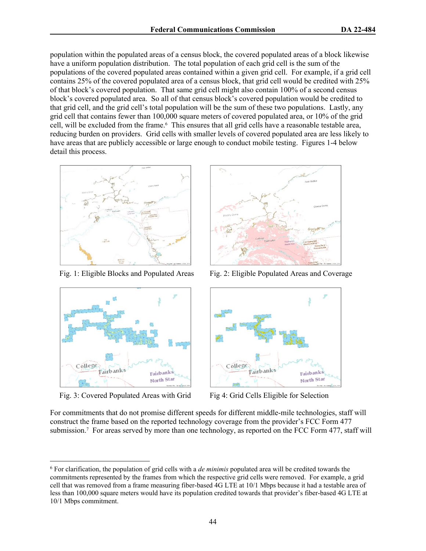population within the populated areas of a census block, the covered populated areas of a block likewise have a uniform population distribution. The total population of each grid cell is the sum of the populations of the covered populated areas contained within a given grid cell. For example, if a grid cell contains 25% of the covered populated area of a census block, that grid cell would be credited with 25% of that block's covered population. That same grid cell might also contain 100% of a second census block's covered populated area. So all of that census block's covered population would be credited to that grid cell, and the grid cell's total population will be the sum of these two populations. Lastly, any grid cell that contains fewer than 100,000 square meters of covered populated area, or 10% of the grid cell, will be excluded from the frame.<sup>6</sup> This ensures that all grid cells have a reasonable testable area, reducing burden on providers. Grid cells with smaller levels of covered populated area are less likely to have areas that are publicly accessible or large enough to conduct mobile testing. Figures 1-4 below detail this process.





Fig. 3: Covered Populated Areas with Grid Fig 4: Grid Cells Eligible for Selection



Fig. 1: Eligible Blocks and Populated Areas Fig. 2: Eligible Populated Areas and Coverage



For commitments that do not promise different speeds for different middle-mile technologies, staff will construct the frame based on the reported technology coverage from the provider's FCC Form 477 submission.<sup>7</sup> For areas served by more than one technology, as reported on the FCC Form 477, staff will

<sup>6</sup> For clarification, the population of grid cells with a *de minimis* populated area will be credited towards the commitments represented by the frames from which the respective grid cells were removed. For example, a grid cell that was removed from a frame measuring fiber-based 4G LTE at 10/1 Mbps because it had a testable area of less than 100,000 square meters would have its population credited towards that provider's fiber-based 4G LTE at 10/1 Mbps commitment.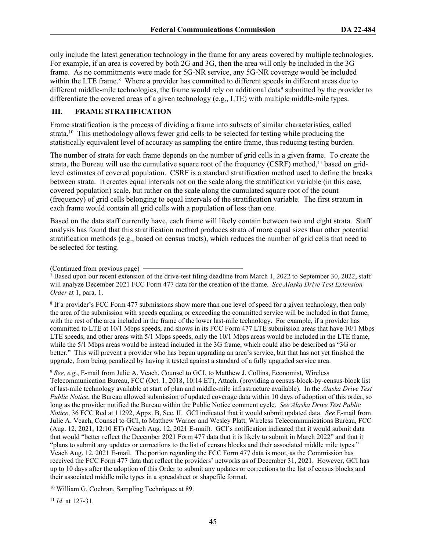only include the latest generation technology in the frame for any areas covered by multiple technologies. For example, if an area is covered by both 2G and 3G, then the area will only be included in the 3G frame. As no commitments were made for 5G-NR service, any 5G-NR coverage would be included within the LTE frame.<sup>8</sup> Where a provider has committed to different speeds in different areas due to different middle-mile technologies, the frame would rely on additional data<sup>9</sup> submitted by the provider to differentiate the covered areas of a given technology (e.g., LTE) with multiple middle-mile types.

#### **III. FRAME STRATIFICATION**

Frame stratification is the process of dividing a frame into subsets of similar characteristics, called strata.<sup>10</sup> This methodology allows fewer grid cells to be selected for testing while producing the statistically equivalent level of accuracy as sampling the entire frame, thus reducing testing burden.

The number of strata for each frame depends on the number of grid cells in a given frame. To create the strata, the Bureau will use the cumulative square root of the frequency (CSRF) method,<sup>11</sup> based on gridlevel estimates of covered population. CSRF is a standard stratification method used to define the breaks between strata. It creates equal intervals not on the scale along the stratification variable (in this case, covered population) scale, but rather on the scale along the cumulated square root of the count (frequency) of grid cells belonging to equal intervals of the stratification variable. The first stratum in each frame would contain all grid cells with a population of less than one.

Based on the data staff currently have, each frame will likely contain between two and eight strata. Staff analysis has found that this stratification method produces strata of more equal sizes than other potential stratification methods (e.g., based on census tracts), which reduces the number of grid cells that need to be selected for testing.

(Continued from previous page)

<sup>8</sup> If a provider's FCC Form 477 submissions show more than one level of speed for a given technology, then only the area of the submission with speeds equaling or exceeding the committed service will be included in that frame, with the rest of the area included in the frame of the lower last-mile technology. For example, if a provider has committed to LTE at 10/1 Mbps speeds, and shows in its FCC Form 477 LTE submission areas that have 10/1 Mbps LTE speeds, and other areas with 5/1 Mbps speeds, only the 10/1 Mbps areas would be included in the LTE frame, while the 5/1 Mbps areas would be instead included in the 3G frame, which could also be described as "3G or better." This will prevent a provider who has begun upgrading an area's service, but that has not yet finished the upgrade, from being penalized by having it tested against a standard of a fully upgraded service area.

<sup>9</sup> *See, e.g.*, E-mail from Julie A. Veach, Counsel to GCI, to Matthew J. Collins, Economist, Wireless Telecommunication Bureau, FCC (Oct. 1, 2018, 10:14 ET), Attach. (providing a census-block-by-census-block list of last-mile technology available at start of plan and middle-mile infrastructure available). In the *Alaska Drive Test Public Notice*, the Bureau allowed submission of updated coverage data within 10 days of adoption of this order, so long as the provider notified the Bureau within the Public Notice comment cycle. *See Alaska Drive Test Public Notice*, 36 FCC Rcd at 11292, Appx. B, Sec. II. GCI indicated that it would submit updated data. *See* E-mail from Julie A. Veach, Counsel to GCI, to Matthew Warner and Wesley Platt, Wireless Telecommunications Bureau, FCC (Aug. 12, 2021, 12:10 ET) (Veach Aug. 12, 2021 E-mail). GCI's notification indicated that it would submit data that would "better reflect the December 2021 Form 477 data that it is likely to submit in March 2022" and that it "plans to submit any updates or corrections to the list of census blocks and their associated middle mile types." Veach Aug. 12, 2021 E-mail. The portion regarding the FCC Form 477 data is moot, as the Commission has received the FCC Form 477 data that reflect the providers' networks as of December 31, 2021. However, GCI has up to 10 days after the adoption of this Order to submit any updates or corrections to the list of census blocks and their associated middle mile types in a spreadsheet or shapefile format.

<sup>10</sup> William G. Cochran, Sampling Techniques at 89.

<sup>11</sup> *Id*. at 127-31.

<sup>&</sup>lt;sup>7</sup> Based upon our recent extension of the drive-test filing deadline from March 1, 2022 to September 30, 2022, staff will analyze December 2021 FCC Form 477 data for the creation of the frame. *See Alaska Drive Test Extension Order* at 1, para. 1.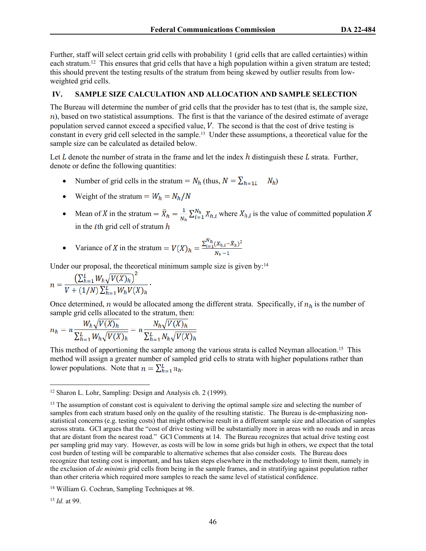Further, staff will select certain grid cells with probability 1 (grid cells that are called certainties) within each stratum.<sup>12</sup> This ensures that grid cells that have a high population within a given stratum are tested; this should prevent the testing results of the stratum from being skewed by outlier results from lowweighted grid cells.

#### **IV. SAMPLE SIZE CALCULATION AND ALLOCATION AND SAMPLE SELECTION**

The Bureau will determine the number of grid cells that the provider has to test (that is, the sample size,  $n$ ), based on two statistical assumptions. The first is that the variance of the desired estimate of average population served cannot exceed a specified value,  $V$ . The second is that the cost of drive testing is constant in every grid cell selected in the sample.13 Under these assumptions, a theoretical value for the sample size can be calculated as detailed below.

Let  $L$  denote the number of strata in the frame and let the index  $h$  distinguish these  $L$  strata. Further, denote or define the following quantities:

- Number of grid cells in the stratum =  $N_h$  (thus,  $N = \sum_{h=1}^{h} N_h$ )
- Weight of the stratum =  $W_h = N_h / N$
- Mean of X in the stratum  $\overline{X}_{h} = \frac{1}{N_h} \sum_{i=1}^{N_h} X_{h,i}$  where  $X_{h,i}$  is the value of committed population X in the *i*th grid cell of stratum  $h$

• Variance of X in the stratum = 
$$
V(X)_h = \frac{\sum_{i=1}^{N_h} (X_{h,i} - \bar{X}_h)^2}{N_h - 1}
$$

Under our proposal, the theoretical minimum sample size is given by:<sup>14</sup>

$$
n = \frac{\left(\sum_{h=1}^{L} W_h \sqrt{V(X)_h}\right)^2}{V + (1/N)\sum_{h=1}^{L} W_h V(X)_h}
$$

Once determined, n would be allocated among the different strata. Specifically, if  $n_h$  is the number of sample grid cells allocated to the stratum, then:

$$
n_h = n \frac{W_h \sqrt{V(X)_h}}{\sum_{h=1}^L W_h \sqrt{V(X)_h}} = n \frac{N_h \sqrt{V(X)_h}}{\sum_{h=1}^L N_h \sqrt{V(X)_h}}
$$

This method of apportioning the sample among the various strata is called Neyman allocation.<sup>15</sup> This method will assign a greater number of sampled grid cells to strata with higher populations rather than lower populations. Note that  $n = \sum_{h=1}^{L} n_h$ .

<sup>15</sup> *Id.* at 99.

<sup>12</sup> Sharon L. Lohr, Sampling: Design and Analysis ch. 2 (1999).

<sup>&</sup>lt;sup>13</sup> The assumption of constant cost is equivalent to deriving the optimal sample size and selecting the number of samples from each stratum based only on the quality of the resulting statistic. The Bureau is de-emphasizing nonstatistical concerns (e.g. testing costs) that might otherwise result in a different sample size and allocation of samples across strata. GCI argues that the "cost of drive testing will be substantially more in areas with no roads and in areas that are distant from the nearest road." GCI Comments at 14. The Bureau recognizes that actual drive testing cost per sampling grid may vary. However, as costs will be low in some grids but high in others, we expect that the total cost burden of testing will be comparable to alternative schemes that also consider costs. The Bureau does recognize that testing cost is important, and has taken steps elsewhere in the methodology to limit them, namely in the exclusion of *de minimis* grid cells from being in the sample frames, and in stratifying against population rather than other criteria which required more samples to reach the same level of statistical confidence.

<sup>14</sup> William G. Cochran, Sampling Techniques at 98.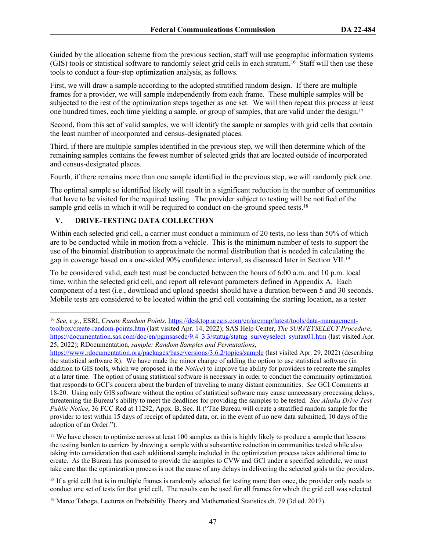Guided by the allocation scheme from the previous section, staff will use geographic information systems (GIS) tools or statistical software to randomly select grid cells in each stratum.<sup>16</sup> Staff will then use these tools to conduct a four-step optimization analysis, as follows.

First, we will draw a sample according to the adopted stratified random design. If there are multiple frames for a provider, we will sample independently from each frame. These multiple samples will be subjected to the rest of the optimization steps together as one set. We will then repeat this process at least one hundred times, each time yielding a sample, or group of samples, that are valid under the design.<sup>17</sup>

Second, from this set of valid samples, we will identify the sample or samples with grid cells that contain the least number of incorporated and census-designated places.

Third, if there are multiple samples identified in the previous step, we will then determine which of the remaining samples contains the fewest number of selected grids that are located outside of incorporated and census-designated places.

Fourth, if there remains more than one sample identified in the previous step, we will randomly pick one.

The optimal sample so identified likely will result in a significant reduction in the number of communities that have to be visited for the required testing. The provider subject to testing will be notified of the sample grid cells in which it will be required to conduct on-the-ground speed tests.<sup>18</sup>

#### **V. DRIVE-TESTING DATA COLLECTION**

Within each selected grid cell, a carrier must conduct a minimum of 20 tests, no less than 50% of which are to be conducted while in motion from a vehicle. This is the minimum number of tests to support the use of the binomial distribution to approximate the normal distribution that is needed in calculating the gap in coverage based on a one-sided 90% confidence interval, as discussed later in Section VII.<sup>19</sup>

To be considered valid, each test must be conducted between the hours of 6:00 a.m. and 10 p.m. local time, within the selected grid cell, and report all relevant parameters defined in Appendix A. Each component of a test (i.e., download and upload speeds) should have a duration between 5 and 30 seconds. Mobile tests are considered to be located within the grid cell containing the starting location, as a tester

<sup>17</sup> We have chosen to optimize across at least 100 samples as this is highly likely to produce a sample that lessens the testing burden to carriers by drawing a sample with a substantive reduction in communities tested while also taking into consideration that each additional sample included in the optimization process takes additional time to create. As the Bureau has promised to provide the samples to CVW and GCI under a specified schedule, we must take care that the optimization process is not the cause of any delays in delivering the selected grids to the providers.

<sup>18</sup> If a grid cell that is in multiple frames is randomly selected for testing more than once, the provider only needs to conduct one set of tests for that grid cell. The results can be used for all frames for which the grid cell was selected.

19 Marco Taboga, Lectures on Probability Theory and Mathematical Statistics ch. 79 (3d ed. 2017).

<sup>16</sup> *See, e.g.*, ESRI, *Create Random Points*, [https://desktop.arcgis.com/en/arcmap/latest/tools/data-management](https://desktop.arcgis.com/en/arcmap/latest/tools/data-management-toolbox/create-random-points.htm)[toolbox/create-random-points.htm](https://desktop.arcgis.com/en/arcmap/latest/tools/data-management-toolbox/create-random-points.htm) (last visited Apr. 14, 2022); SAS Help Center, *The SURVEYSELECT Procedure*, [https://documentation.sas.com/doc/en/pgmsascdc/9.4\\_3.3/statug/statug\\_surveyselect\\_syntax01.htm](https://documentation.sas.com/doc/en/pgmsascdc/9.4_3.3/statug/statug_surveyselect_syntax01.htm) (last visited Apr. 25, 2022); RDocumentation, *sample: Random Samples and Permutations*,

<https://www.rdocumentation.org/packages/base/versions/3.6.2/topics/sample> (last visited Apr. 29, 2022) (describing the statistical software R). We have made the minor change of adding the option to use statistical software (in addition to GIS tools, which we proposed in the *Notice*) to improve the ability for providers to recreate the samples at a later time. The option of using statistical software is necessary in order to conduct the community optimization that responds to GCI's concern about the burden of traveling to many distant communities. *See* GCI Comments at 18-20. Using only GIS software without the option of statistical software may cause unnecessary processing delays, threatening the Bureau's ability to meet the deadlines for providing the samples to be tested. *See Alaska Drive Test Public Notice*, 36 FCC Rcd at 11292, Appx. B, Sec. II ("The Bureau will create a stratified random sample for the provider to test within 15 days of receipt of updated data, or, in the event of no new data submitted, 10 days of the adoption of an Order.").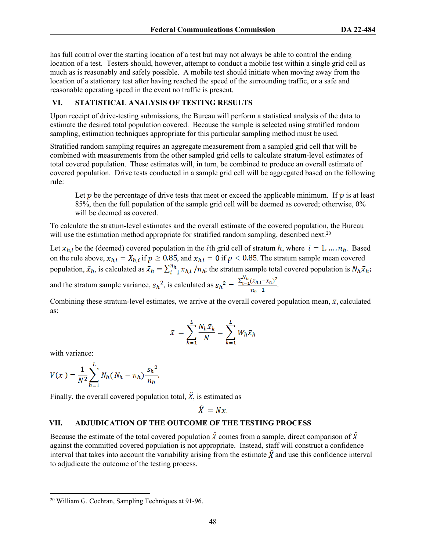has full control over the starting location of a test but may not always be able to control the ending location of a test. Testers should, however, attempt to conduct a mobile test within a single grid cell as much as is reasonably and safely possible. A mobile test should initiate when moving away from the location of a stationary test after having reached the speed of the surrounding traffic, or a safe and reasonable operating speed in the event no traffic is present.

#### **VI. STATISTICAL ANALYSIS OF TESTING RESULTS**

Upon receipt of drive-testing submissions, the Bureau will perform a statistical analysis of the data to estimate the desired total population covered. Because the sample is selected using stratified random sampling, estimation techniques appropriate for this particular sampling method must be used.

Stratified random sampling requires an aggregate measurement from a sampled grid cell that will be combined with measurements from the other sampled grid cells to calculate stratum-level estimates of total covered population. These estimates will, in turn, be combined to produce an overall estimate of covered population. Drive tests conducted in a sample grid cell will be aggregated based on the following rule:

Let  $p$  be the percentage of drive tests that meet or exceed the applicable minimum. If  $p$  is at least 85%, then the full population of the sample grid cell will be deemed as covered; otherwise, 0% will be deemed as covered.

To calculate the stratum-level estimates and the overall estimate of the covered population, the Bureau will use the estimation method appropriate for stratified random sampling, described next.<sup>20</sup>

Let  $x_{h,i}$  be the (deemed) covered population in the *i*th grid cell of stratum h, where  $i = 1, ..., n_h$ . Based on the rule above,  $x_{h,i} = X_{h,i}$  if  $p \ge 0.85$ , and  $x_{h,i} = 0$  if  $p < 0.85$ . The stratum sample mean covered population,  $\bar{x}_h$ , is calculated as  $\bar{x}_h = \sum_{i=1}^{n_h} x_{h,i} / n_h$ ; the stratum sample total covered population is  $N_h \bar{x}_h$ ; and the stratum sample variance,  $s_h^2$ , is calculated as  $s_h^2 = \frac{\sum_{i=1}^{N_h}(x_{h,i}-\bar{x}_h)^2}{n_h-1}$ .

Combining these stratum-level estimates, we arrive at the overall covered population mean,  $\bar{x}$ , calculated as:

$$
\bar{x} = \sum_{h=1}^{L} \frac{N_h \bar{x}_h}{N} = \sum_{h=1}^{L} W_h \bar{x}_h
$$

with variance:

$$
V(\bar{x}) = \frac{1}{N^2} \sum_{h=1}^{L} N_h (N_h - n_h) \frac{s_h^2}{n_h}.
$$

Finally, the overall covered population total,  $\hat{X}$ , is estimated as

$$
\widehat{X} = N\bar{x}.
$$

#### **VII. ADJUDICATION OF THE OUTCOME OF THE TESTING PROCESS**

Because the estimate of the total covered population  $\hat{X}$  comes from a sample, direct comparison of  $\hat{X}$ against the committed covered population is not appropriate. Instead, staff will construct a confidence interval that takes into account the variability arising from the estimate  $\hat{X}$  and use this confidence interval to adjudicate the outcome of the testing process.

<sup>20</sup> William G. Cochran, Sampling Techniques at 91-96.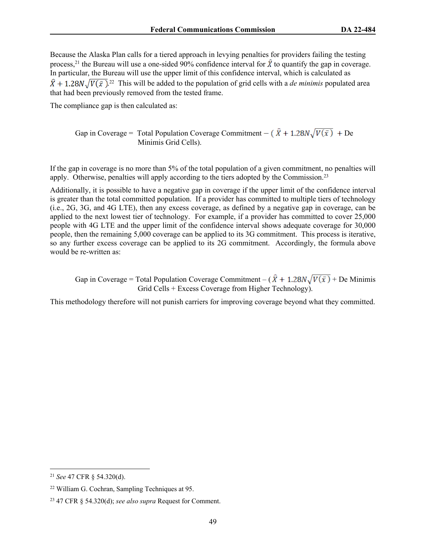Because the Alaska Plan calls for a tiered approach in levying penalties for providers failing the testing process,<sup>21</sup> the Bureau will use a one-sided 90% confidence interval for  $\hat{X}$  to quantify the gap in coverage. In particular, the Bureau will use the upper limit of this confidence interval, which is calculated as . <sup>22</sup> This will be added to the population of grid cells with a *de minimis* populated area that had been previously removed from the tested frame.

The compliance gap is then calculated as:

Gap in Coverage = Total Population Coverage Commitment  $-(\hat{X} + 1.28N\sqrt{V(\bar{x})} + De)$ Minimis Grid Cells).

If the gap in coverage is no more than 5% of the total population of a given commitment, no penalties will apply. Otherwise, penalties will apply according to the tiers adopted by the Commission.<sup>23</sup>

Additionally, it is possible to have a negative gap in coverage if the upper limit of the confidence interval is greater than the total committed population. If a provider has committed to multiple tiers of technology (i.e., 2G, 3G, and 4G LTE), then any excess coverage, as defined by a negative gap in coverage, can be applied to the next lowest tier of technology. For example, if a provider has committed to cover 25,000 people with 4G LTE and the upper limit of the confidence interval shows adequate coverage for 30,000 people, then the remaining 5,000 coverage can be applied to its 3G commitment. This process is iterative, so any further excess coverage can be applied to its 2G commitment. Accordingly, the formula above would be re-written as:

Gap in Coverage = Total Population Coverage Commitment –  $(\hat{X} + 1.28N\sqrt{V(\bar{x})} +$  De Minimis Grid Cells + Excess Coverage from Higher Technology).

This methodology therefore will not punish carriers for improving coverage beyond what they committed.

<sup>21</sup> *See* 47 CFR § 54.320(d).

<sup>22</sup> William G. Cochran, Sampling Techniques at 95.

<sup>23</sup> 47 CFR § 54.320(d); *see also supra* Request for Comment.